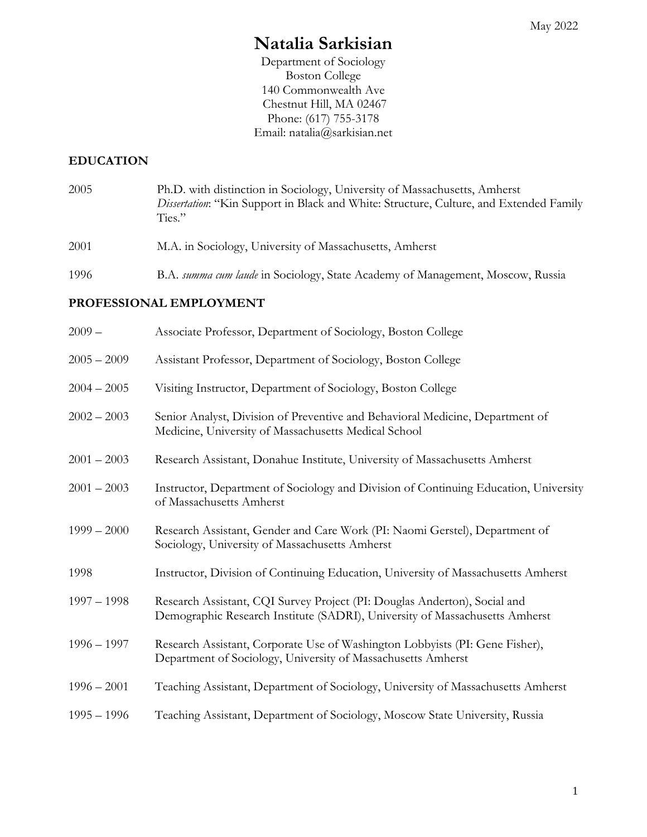# **Natalia Sarkisian**

Department of Sociology Boston College 140 Commonwealth Ave Chestnut Hill, MA 02467 Phone: (617) 755-3178 Email: natalia@sarkisian.net

# **EDUCATION**

- 2005 2001 Ph.D. with distinction in Sociology, University of Massachusetts, Amherst *Dissertation*: "Kin Support in Black and White: Structure, Culture, and Extended Family Ties." M.A. in Sociology, University of Massachusetts, Amherst
- 1996 B.A. *summa cum laude* in Sociology, State Academy of Management, Moscow, Russia

## **PROFESSIONAL EMPLOYMENT**

| $2009 -$      | Associate Professor, Department of Sociology, Boston College                                                                                             |
|---------------|----------------------------------------------------------------------------------------------------------------------------------------------------------|
| $2005 - 2009$ | Assistant Professor, Department of Sociology, Boston College                                                                                             |
| $2004 - 2005$ | Visiting Instructor, Department of Sociology, Boston College                                                                                             |
| $2002 - 2003$ | Senior Analyst, Division of Preventive and Behavioral Medicine, Department of<br>Medicine, University of Massachusetts Medical School                    |
| $2001 - 2003$ | Research Assistant, Donahue Institute, University of Massachusetts Amherst                                                                               |
| $2001 - 2003$ | Instructor, Department of Sociology and Division of Continuing Education, University<br>of Massachusetts Amherst                                         |
| $1999 - 2000$ | Research Assistant, Gender and Care Work (PI: Naomi Gerstel), Department of<br>Sociology, University of Massachusetts Amherst                            |
| 1998          | Instructor, Division of Continuing Education, University of Massachusetts Amherst                                                                        |
| $1997 - 1998$ | Research Assistant, CQI Survey Project (PI: Douglas Anderton), Social and<br>Demographic Research Institute (SADRI), University of Massachusetts Amherst |
| $1996 - 1997$ | Research Assistant, Corporate Use of Washington Lobbyists (PI: Gene Fisher),<br>Department of Sociology, University of Massachusetts Amherst             |
| $1996 - 2001$ | Teaching Assistant, Department of Sociology, University of Massachusetts Amherst                                                                         |
| $1995 - 1996$ | Teaching Assistant, Department of Sociology, Moscow State University, Russia                                                                             |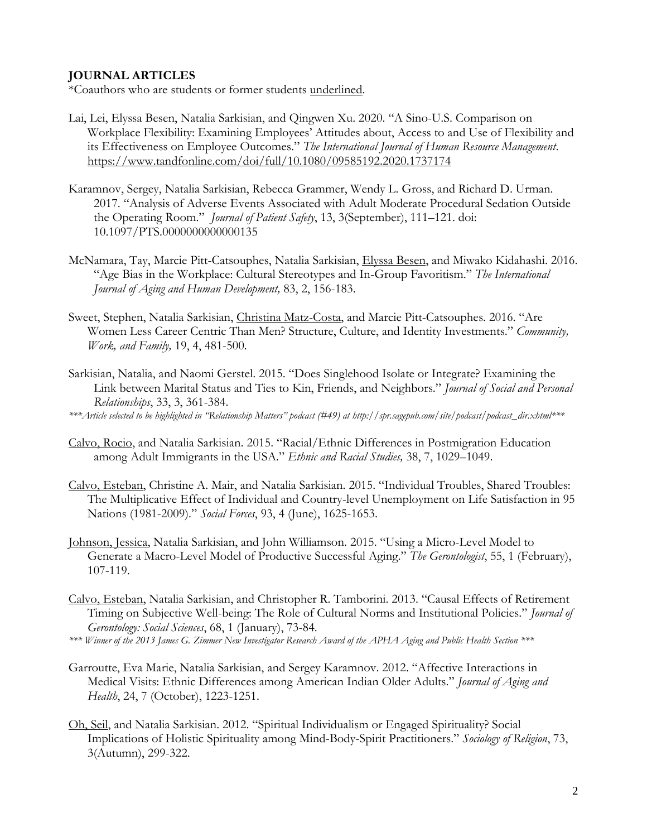# **JOURNAL ARTICLES**

\*Coauthors who are students or former students underlined.

- Lai, Lei, Elyssa Besen, Natalia Sarkisian, and Qingwen Xu. 2020. "A Sino-U.S. Comparison on Workplace Flexibility: Examining Employees' Attitudes about, Access to and Use of Flexibility and its Effectiveness on Employee Outcomes." *The International Journal of Human Resource Management*. <https://www.tandfonline.com/doi/full/10.1080/09585192.2020.1737174>
- Karamnov, Sergey, Natalia Sarkisian, Rebecca Grammer, Wendy L. Gross, and Richard D. Urman. 2017. "Analysis of Adverse Events Associated with Adult Moderate Procedural Sedation Outside the Operating Room." *Journal of Patient Safety*, 13, 3(September), 111–121. doi: 10.1097/PTS.0000000000000135
- McNamara, Tay, Marcie Pitt-Catsouphes, Natalia Sarkisian, Elyssa Besen, and Miwako Kidahashi. 2016. "Age Bias in the Workplace: Cultural Stereotypes and In-Group Favoritism." *The International Journal of Aging and Human Development,* 83, 2, 156-183.
- Sweet, Stephen, Natalia Sarkisian, Christina Matz-Costa, and Marcie Pitt-Catsouphes. 2016. "Are Women Less Career Centric Than Men? Structure, Culture, and Identity Investments." *Community, Work, and Family,* 19, 4, 481-500*.*
- Sarkisian, Natalia, and Naomi Gerstel. 2015. "Does Singlehood Isolate or Integrate? Examining the Link between Marital Status and Ties to Kin, Friends, and Neighbors." *Journal of Social and Personal Relationships*, 33, 3, 361-384.

*\*\*\*Article selected to be highlighted in "Relationship Matters" podcast (#49) at http://spr.sagepub.com/site/podcast/podcast\_dir.xhtml\*\*\**

- Calvo, Rocio, and Natalia Sarkisian. 2015. "Racial/Ethnic Differences in Postmigration Education among Adult Immigrants in the USA." *Ethnic and Racial Studies,* 38, 7, 1029–1049.
- Calvo, Esteban, Christine A. Mair, and Natalia Sarkisian. 2015. "Individual Troubles, Shared Troubles: The Multiplicative Effect of Individual and Country-level Unemployment on Life Satisfaction in 95 Nations (1981-2009)." *Social Forces*, 93, 4 (June), 1625-1653.
- Johnson, Jessica, Natalia Sarkisian, and John Williamson. 2015. "Using a Micro-Level Model to Generate a Macro-Level Model of Productive Successful Aging." *The Gerontologist*, 55, 1 (February), 107-119.
- Calvo, Esteban, Natalia Sarkisian, and Christopher R. Tamborini. 2013. "Causal Effects of Retirement Timing on Subjective Well-being: The Role of Cultural Norms and Institutional Policies." *Journal of Gerontology: Social Sciences*, 68, 1 (January), 73-84.
- *\*\*\* Winner of the 2013 James G. Zimmer New Investigator Research Award of the APHA Aging and Public Health Section \*\*\**
- Garroutte, Eva Marie, Natalia Sarkisian, and Sergey Karamnov. 2012. "Affective Interactions in Medical Visits: Ethnic Differences among American Indian Older Adults." *Journal of Aging and Health*, 24, 7 (October), 1223-1251.
- Oh, Seil, and Natalia Sarkisian. 2012. "Spiritual Individualism or Engaged Spirituality? Social Implications of Holistic Spirituality among Mind-Body-Spirit Practitioners." *Sociology of Religion*, 73, 3(Autumn), 299-322.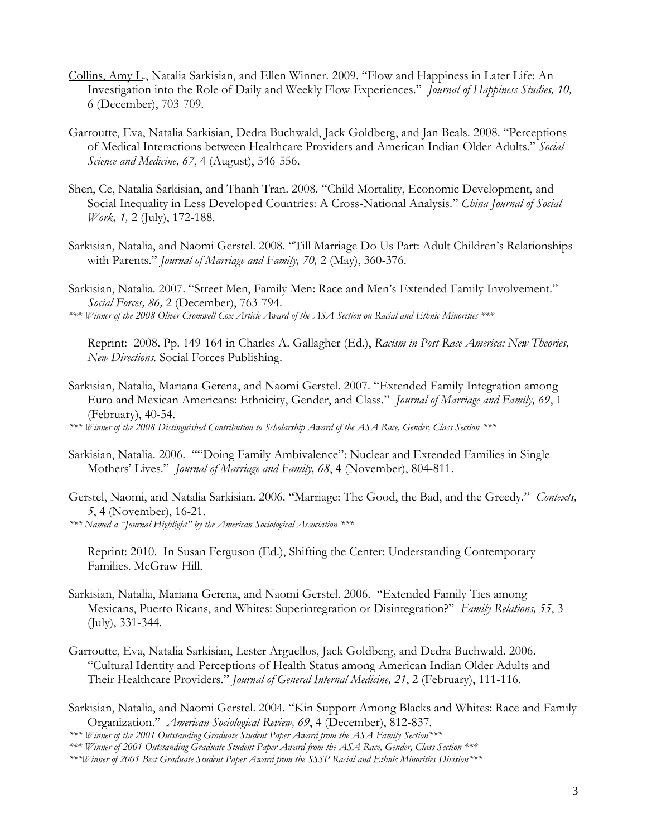- Collins, Amy L., Natalia Sarkisian, and Ellen Winner. 2009. "Flow and Happiness in Later Life: An Investigation into the Role of Daily and Weekly Flow Experiences." *Journal of Happiness Studies, 10,*  6 (December), 703-709.
- Garroutte, Eva, Natalia Sarkisian, Dedra Buchwald, Jack Goldberg, and Jan Beals. 2008. "Perceptions of Medical Interactions between Healthcare Providers and American Indian Older Adults." *Social Science and Medicine, 67*, 4 (August), 546-556.
- Shen, Ce, Natalia Sarkisian, and Thanh Tran. 2008. "Child Mortality, Economic Development, and Social Inequality in Less Developed Countries: A Cross-National Analysis." *China Journal of Social Work, 1,* 2 (July), 172-188.
- Sarkisian, Natalia, and Naomi Gerstel. 2008. "Till Marriage Do Us Part: Adult Children's Relationships with Parents." *Journal of Marriage and Family, 70,* 2 (May), 360-376.
- Sarkisian, Natalia. 2007. "Street Men, Family Men: Race and Men's Extended Family Involvement." *Social Forces, 86,* 2 (December), 763-794.

*\*\*\* Winner of the 2008 Oliver Cromwell Cox Article Award of the ASA Section on Racial and Ethnic Minorities \*\*\** 

Reprint: 2008. Pp. 149-164 in Charles A. Gallagher (Ed.), *Racism in Post-Race America: New Theories, New Directions.* Social Forces Publishing.

Sarkisian, Natalia, Mariana Gerena, and Naomi Gerstel. 2007. "Extended Family Integration among Euro and Mexican Americans: Ethnicity, Gender, and Class." *Journal of Marriage and Family, 69*, 1 (February), 40-54.

*\*\*\* Winner of the 2008 Distinguished Contribution to Scholarship Award of the ASA Race, Gender, Class Section \*\*\**

- Sarkisian, Natalia. 2006. ""Doing Family Ambivalence": Nuclear and Extended Families in Single Mothers' Lives." *Journal of Marriage and Family, 68*, 4 (November), 804-811.
- Gerstel, Naomi, and Natalia Sarkisian. 2006. "Marriage: The Good, the Bad, and the Greedy." *Contexts, 5*, 4 (November), 16-21.

*\*\*\* Named a "Journal Highlight" by the American Sociological Association \*\*\**

Reprint: 2010. In Susan Ferguson (Ed.), Shifting the Center: Understanding Contemporary Families. McGraw-Hill.

- Sarkisian, Natalia, Mariana Gerena, and Naomi Gerstel. 2006. "Extended Family Ties among Mexicans, Puerto Ricans, and Whites: Superintegration or Disintegration?" *Family Relations, 55*, 3 (July), 331-344.
- Garroutte, Eva, Natalia Sarkisian, Lester Arguellos, Jack Goldberg, and Dedra Buchwald. 2006. "Cultural Identity and Perceptions of Health Status among American Indian Older Adults and Their Healthcare Providers." *Journal of General Internal Medicine, 21*, 2 (February), 111-116.
- Sarkisian, Natalia, and Naomi Gerstel. 2004. "Kin Support Among Blacks and Whites: Race and Family Organization." *American Sociological Review, 69*, 4 (December), 812-837.

*<sup>\*\*\*</sup> Winner of the 2001 Outstanding Graduate Student Paper Award from the ASA Family Section\*\*\**

*<sup>\*\*\*</sup> Winner of 2001 Outstanding Graduate Student Paper Award from the ASA Race, Gender, Class Section \*\*\**

*<sup>\*\*\*</sup>Winner of 2001 Best Graduate Student Paper Award from the SSSP Racial and Ethnic Minorities Division\*\*\**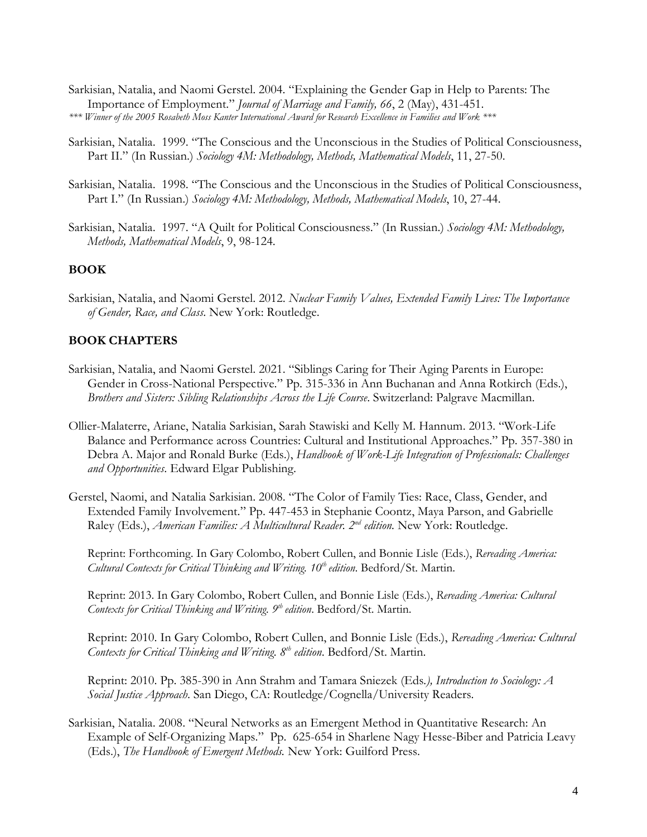- Sarkisian, Natalia, and Naomi Gerstel. 2004. "Explaining the Gender Gap in Help to Parents: The Importance of Employment." *Journal of Marriage and Family, 66*, 2 (May), 431-451. *\*\*\* Winner of the 2005 Rosabeth Moss Kanter International Award for Research Excellence in Families and Work \*\*\**
- Sarkisian, Natalia. 1999. "The Conscious and the Unconscious in the Studies of Political Consciousness, Part II." (In Russian.) *Sociology 4M: Methodology, Methods, Mathematical Models*, 11, 27-50.
- Sarkisian, Natalia. 1998. "The Conscious and the Unconscious in the Studies of Political Consciousness, Part I." (In Russian.) *Sociology 4M: Methodology, Methods, Mathematical Models*, 10, 27-44.
- Sarkisian, Natalia. 1997. "A Quilt for Political Consciousness." (In Russian.) *Sociology 4M: Methodology, Methods, Mathematical Models*, 9, 98-124.

#### **BOOK**

Sarkisian, Natalia, and Naomi Gerstel. 2012. *Nuclear Family Values, Extended Family Lives: The Importance of Gender, Race, and Class*. New York: Routledge.

#### **BOOK CHAPTERS**

- Sarkisian, Natalia, and Naomi Gerstel. 2021. "Siblings Caring for Their Aging Parents in Europe: Gender in Cross-National Perspective." Pp. 315-336 in Ann Buchanan and Anna Rotkirch (Eds.), *Brothers and Sisters: Sibling Relationships Across the Life Course*. Switzerland: Palgrave Macmillan.
- Ollier-Malaterre, Ariane, Natalia Sarkisian, Sarah Stawiski and Kelly M. Hannum. 2013. "Work-Life Balance and Performance across Countries: Cultural and Institutional Approaches." Pp. 357-380 in Debra A. Major and Ronald Burke (Eds.), *Handbook of Work-Life Integration of Professionals: Challenges and Opportunities*. Edward Elgar Publishing.
- Gerstel, Naomi, and Natalia Sarkisian. 2008. "The Color of Family Ties: Race, Class, Gender, and Extended Family Involvement." Pp. 447-453 in Stephanie Coontz, Maya Parson, and Gabrielle Raley (Eds.), *American Families: A Multicultural Reader. 2<sup>nd</sup> edition.* New York: Routledge.

Reprint: Forthcoming. In Gary Colombo, Robert Cullen, and Bonnie Lisle (Eds.), *Rereading America: Cultural Contexts for Critical Thinking and Writing. 10th edition*. Bedford/St. Martin.

Reprint: 2013. In Gary Colombo, Robert Cullen, and Bonnie Lisle (Eds.), *Rereading America: Cultural Contexts for Critical Thinking and Writing. 9 th edition*. Bedford/St. Martin.

Reprint: 2010. In Gary Colombo, Robert Cullen, and Bonnie Lisle (Eds.), *Rereading America: Cultural Contexts for Critical Thinking and Writing. 8 th edition*. Bedford/St. Martin.

Reprint: 2010. Pp. 385-390 in Ann Strahm and Tamara Sniezek (Eds*.), Introduction to Sociology: A Social Justice Approach*. San Diego, CA: Routledge/Cognella/University Readers.

Sarkisian, Natalia. 2008. "Neural Networks as an Emergent Method in Quantitative Research: An Example of Self-Organizing Maps." Pp. 625-654 in Sharlene Nagy Hesse-Biber and Patricia Leavy (Eds.), *The Handbook of Emergent Methods.* New York: Guilford Press.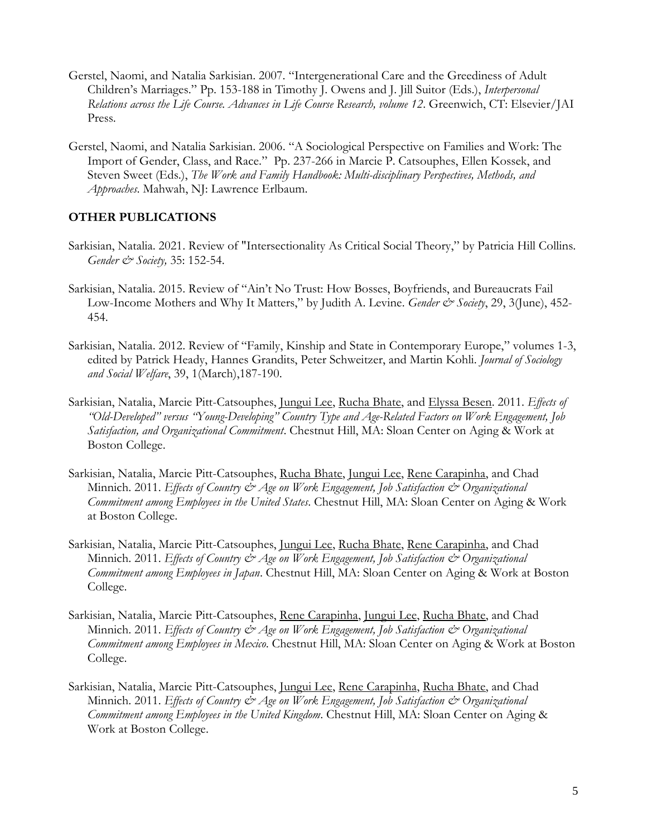- Gerstel, Naomi, and Natalia Sarkisian. 2007. "Intergenerational Care and the Greediness of Adult Children's Marriages." Pp. 153-188 in Timothy J. Owens and J. Jill Suitor (Eds.), *Interpersonal Relations across the Life Course. Advances in Life Course Research, volume 12*. Greenwich, CT: Elsevier/JAI Press.
- Gerstel, Naomi, and Natalia Sarkisian. 2006. "A Sociological Perspective on Families and Work: The Import of Gender, Class, and Race." Pp. 237-266 in Marcie P. Catsouphes, Ellen Kossek, and Steven Sweet (Eds.), *The Work and Family Handbook: Multi-disciplinary Perspectives, Methods, and Approaches*. Mahwah, NJ: Lawrence Erlbaum.

## **OTHER PUBLICATIONS**

- Sarkisian, Natalia. 2021. Review of "Intersectionality As Critical Social Theory," by Patricia Hill Collins. *Gender & Society,* 35: 152-54.
- Sarkisian, Natalia. 2015. Review of "Ain't No Trust: How Bosses, Boyfriends, and Bureaucrats Fail Low-Income Mothers and Why It Matters," by Judith A. Levine. *Gender & Society*, 29, 3(June), 452-454.
- Sarkisian, Natalia. 2012. Review of "Family, Kinship and State in Contemporary Europe," volumes 1-3, edited by Patrick Heady, Hannes Grandits, Peter Schweitzer, and Martin Kohli. *Journal of Sociology and Social Welfare*, 39, 1(March),187-190.
- Sarkisian, Natalia, Marcie Pitt-Catsouphes, Jungui Lee, Rucha Bhate, and Elyssa Besen. 2011. *Effects of "Old-Developed" versus "Young-Developing" Country Type and Age-Related Factors on Work Engagement, Job Satisfaction, and Organizational Commitment*. Chestnut Hill, MA: Sloan Center on Aging & Work at Boston College.
- Sarkisian, Natalia, Marcie Pitt-Catsouphes, Rucha Bhate, Jungui Lee, Rene Carapinha, and Chad Minnich. 2011. *Effects of Country & Age on Work Engagement*, Job Satisfaction & Organizational *Commitment among Employees in the United States*. Chestnut Hill, MA: Sloan Center on Aging & Work at Boston College.
- Sarkisian, Natalia, Marcie Pitt-Catsouphes, <u>Jungui Lee, Rucha Bhate, Rene Carapinha</u>, and Chad Minnich. 2011. *Effects of Country*  $\mathcal{Q}$  *Age on Work Engagement, Job Satisfaction*  $\mathcal{Q}$  *Organizational Commitment among Employees in Japan*. Chestnut Hill, MA: Sloan Center on Aging & Work at Boston College.
- Sarkisian, Natalia, Marcie Pitt-Catsouphes, Rene Carapinha, Jungui Lee, Rucha Bhate, and Chad Minnich. 2011. *Effects of Country & Age on Work Engagement*, Job Satisfaction & Organizational *Commitment among Employees in Mexico*. Chestnut Hill, MA: Sloan Center on Aging & Work at Boston College.
- Sarkisian, Natalia, Marcie Pitt-Catsouphes, *Jungui Lee*, Rene Carapinha, Rucha Bhate, and Chad Minnich. 2011. *Effects of Country & Age on Work Engagement*, Job Satisfaction & Organizational *Commitment among Employees in the United Kingdom*. Chestnut Hill, MA: Sloan Center on Aging & Work at Boston College.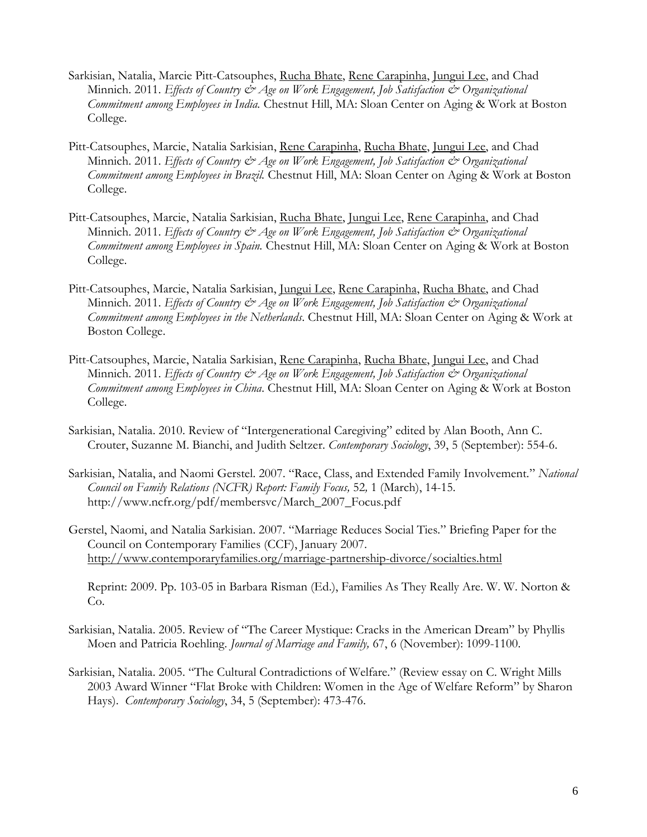- Sarkisian, Natalia, Marcie Pitt-Catsouphes, Rucha Bhate, Rene Carapinha, Jungui Lee, and Chad Minnich. 2011. *Effects of Country & Age on Work Engagement*, Job Satisfaction & Organizational *Commitment among Employees in India.* Chestnut Hill, MA: Sloan Center on Aging & Work at Boston College.
- Pitt-Catsouphes, Marcie, Natalia Sarkisian, Rene Carapinha, Rucha Bhate, Jungui Lee, and Chad Minnich. 2011. *Effects of Country*  $\mathcal{Q}$  *Age on Work Engagement, Job Satisfaction*  $\mathcal{Q}$  *Organizational Commitment among Employees in Brazil.* Chestnut Hill, MA: Sloan Center on Aging & Work at Boston College.
- Pitt-Catsouphes, Marcie, Natalia Sarkisian, Rucha Bhate, Jungui Lee, Rene Carapinha, and Chad Minnich. 2011. *Effects of Country & Age on Work Engagement*, Job Satisfaction & Organizational *Commitment among Employees in Spain.* Chestnut Hill, MA: Sloan Center on Aging & Work at Boston College.
- Pitt-Catsouphes, Marcie, Natalia Sarkisian, <u>Jungui Lee, Rene Carapinha, Rucha Bhate</u>, and Chad Minnich. 2011. *Effects of Country & Age on Work Engagement*, Job Satisfaction & Organizational *Commitment among Employees in the Netherlands*. Chestnut Hill, MA: Sloan Center on Aging & Work at Boston College.
- Pitt-Catsouphes, Marcie, Natalia Sarkisian, Rene Carapinha, Rucha Bhate, Jungui Lee, and Chad Minnich. 2011. *Effects of Country & Age on Work Engagement*, Job Satisfaction & Organizational *Commitment among Employees in China*. Chestnut Hill, MA: Sloan Center on Aging & Work at Boston College.
- Sarkisian, Natalia. 2010. Review of "Intergenerational Caregiving" edited by Alan Booth, Ann C. Crouter, Suzanne M. Bianchi, and Judith Seltzer. *Contemporary Sociology*, 39, 5 (September): 554-6.
- Sarkisian, Natalia, and Naomi Gerstel. 2007. "Race, Class, and Extended Family Involvement." *National Council on Family Relations (NCFR) Report: Family Focus,* 52*,* 1 (March), 14-15. http://www.ncfr.org/pdf/membersvc/March\_2007\_Focus.pdf
- Gerstel, Naomi, and Natalia Sarkisian. 2007. "Marriage Reduces Social Ties." Briefing Paper for the Council on Contemporary Families (CCF), January 2007. <http://www.contemporaryfamilies.org/marriage-partnership-divorce/socialties.html>

Reprint: 2009. Pp. 103-05 in Barbara Risman (Ed.), Families As They Really Are. W. W. Norton & Co.

- Sarkisian, Natalia. 2005. Review of "The Career Mystique: Cracks in the American Dream" by Phyllis Moen and Patricia Roehling. *Journal of Marriage and Family,* 67, 6 (November): 1099-1100.
- Sarkisian, Natalia. 2005. "The Cultural Contradictions of Welfare." (Review essay on C. Wright Mills 2003 Award Winner "Flat Broke with Children: Women in the Age of Welfare Reform" by Sharon Hays). *Contemporary Sociology*, 34, 5 (September): 473-476.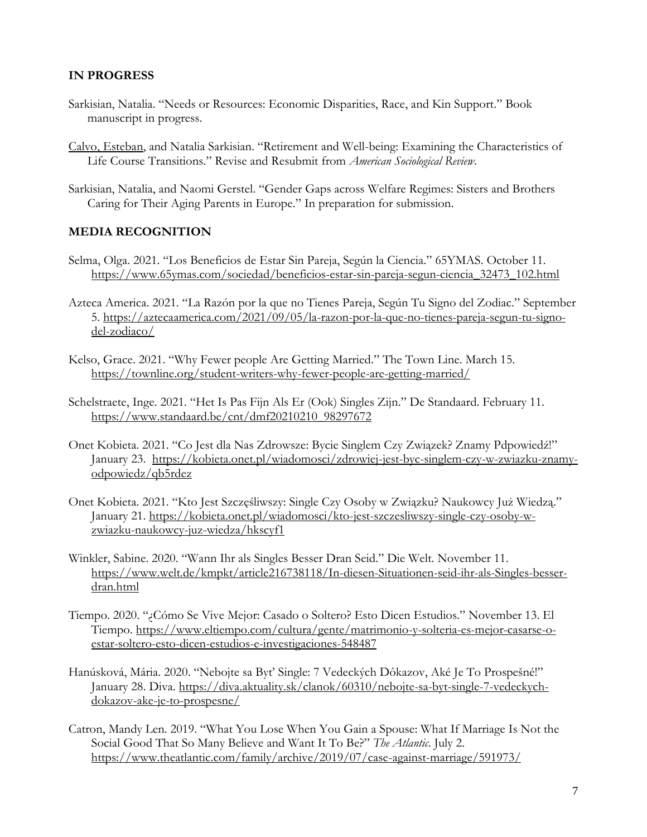## **IN PROGRESS**

- Sarkisian, Natalia. "Needs or Resources: Economic Disparities, Race, and Kin Support." Book manuscript in progress.
- Calvo, Esteban, and Natalia Sarkisian. "Retirement and Well-being: Examining the Characteristics of Life Course Transitions." Revise and Resubmit from *American Sociological Review*.
- Sarkisian, Natalia, and Naomi Gerstel. "Gender Gaps across Welfare Regimes: Sisters and Brothers Caring for Their Aging Parents in Europe." In preparation for submission.

#### **MEDIA RECOGNITION**

- Selma, Olga. 2021. "Los Beneficios de Estar Sin Pareja, Según la Ciencia." 65YMAS. October 11. [https://www.65ymas.com/sociedad/beneficios-estar-sin-pareja-segun-ciencia\\_32473\\_102.html](https://www.65ymas.com/sociedad/beneficios-estar-sin-pareja-segun-ciencia_32473_102.html)
- Azteca America. 2021. "La Razón por la que no Tienes Pareja, Según Tu Signo del Zodiac." September 5. [https://aztecaamerica.com/2021/09/05/la-razon-por-la-que-no-tienes-pareja-segun-tu-signo](https://aztecaamerica.com/2021/09/05/la-razon-por-la-que-no-tienes-pareja-segun-tu-signo-del-zodiaco/)[del-zodiaco/](https://aztecaamerica.com/2021/09/05/la-razon-por-la-que-no-tienes-pareja-segun-tu-signo-del-zodiaco/)
- Kelso, Grace. 2021. "Why Fewer people Are Getting Married." The Town Line. March 15. <https://townline.org/student-writers-why-fewer-people-are-getting-married/>
- Schelstraete, Inge. 2021. "Het Is Pas Fijn Als Er (Ook) Singles Zijn." De Standaard. February 11. [https://www.standaard.be/cnt/dmf20210210\\_98297672](https://www.standaard.be/cnt/dmf20210210_98297672)
- Onet Kobieta. 2021. "Co Jest dla Nas Zdrowsze: Bycie Singlem Czy Związek? Znamy Pdpowiedź!" January 23. [https://kobieta.onet.pl/wiadomosci/zdrowiej-jest-byc-singlem-czy-w-zwiazku-znamy](https://kobieta.onet.pl/wiadomosci/zdrowiej-jest-byc-singlem-czy-w-zwiazku-znamy-odpowiedz/qb5rdez)[odpowiedz/qb5rdez](https://kobieta.onet.pl/wiadomosci/zdrowiej-jest-byc-singlem-czy-w-zwiazku-znamy-odpowiedz/qb5rdez)
- Onet Kobieta. 2021. "Kto Jest Szczęśliwszy: Single Czy Osoby w Związku? Naukowcy Już Wiedzą." January 21. [https://kobieta.onet.pl/wiadomosci/kto-jest-szczesliwszy-single-czy-osoby-w](https://kobieta.onet.pl/wiadomosci/kto-jest-szczesliwszy-single-czy-osoby-w-zwiazku-naukowcy-juz-wiedza/hkscyf1)[zwiazku-naukowcy-juz-wiedza/hkscyf1](https://kobieta.onet.pl/wiadomosci/kto-jest-szczesliwszy-single-czy-osoby-w-zwiazku-naukowcy-juz-wiedza/hkscyf1)
- Winkler, Sabine. 2020. "Wann Ihr als Singles Besser Dran Seid." Die Welt. November 11. [https://www.welt.de/kmpkt/article216738118/In-diesen-Situationen-seid-ihr-als-Singles-besser](https://www.welt.de/kmpkt/article216738118/In-diesen-Situationen-seid-ihr-als-Singles-besser-dran.html)[dran.html](https://www.welt.de/kmpkt/article216738118/In-diesen-Situationen-seid-ihr-als-Singles-besser-dran.html)
- Tiempo. 2020. "¿Cómo Se Vive Mejor: Casado o Soltero? Esto Dicen Estudios." November 13. El Tiempo. [https://www.eltiempo.com/cultura/gente/matrimonio-y-solteria-es-mejor-casarse-o](https://www.eltiempo.com/cultura/gente/matrimonio-y-solteria-es-mejor-casarse-o-estar-soltero-esto-dicen-estudios-e-investigaciones-548487)[estar-soltero-esto-dicen-estudios-e-investigaciones-548487](https://www.eltiempo.com/cultura/gente/matrimonio-y-solteria-es-mejor-casarse-o-estar-soltero-esto-dicen-estudios-e-investigaciones-548487)
- Hanúsková, Mária. 2020. "Nebojte sa Byť Single: 7 Vedeckých Dôkazov, Aké Je To Prospešné!" January 28. Diva. [https://diva.aktuality.sk/clanok/60310/nebojte-sa-byt-single-7-vedeckych](https://diva.aktuality.sk/clanok/60310/nebojte-sa-byt-single-7-vedeckych-dokazov-ake-je-to-prospesne/)[dokazov-ake-je-to-prospesne/](https://diva.aktuality.sk/clanok/60310/nebojte-sa-byt-single-7-vedeckych-dokazov-ake-je-to-prospesne/)
- Catron, Mandy Len. 2019. "What You Lose When You Gain a Spouse: What If Marriage Is Not the Social Good That So Many Believe and Want It To Be?" *The Atlantic*. July 2. <https://www.theatlantic.com/family/archive/2019/07/case-against-marriage/591973/>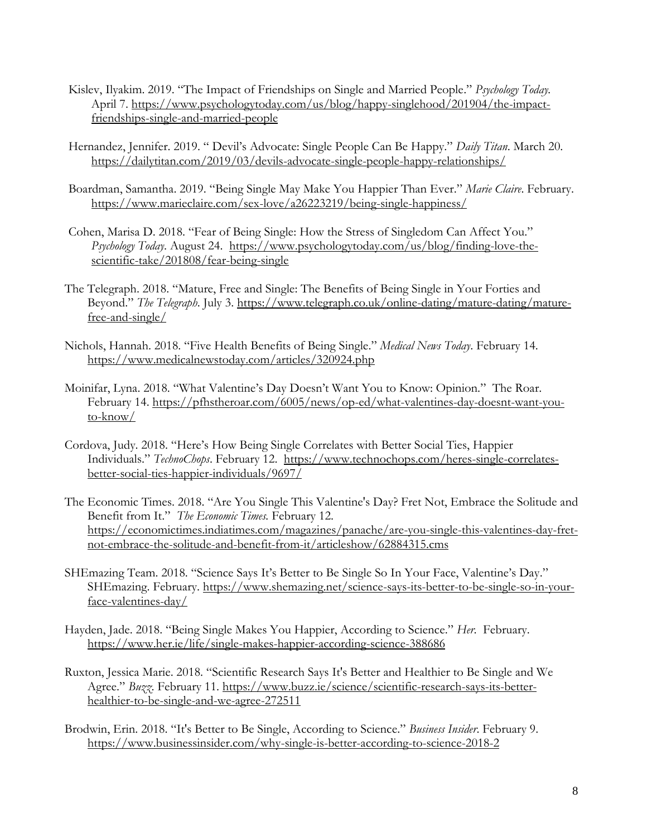- Kislev, Ilyakim. 2019. "The Impact of Friendships on Single and Married People." *Psychology Today.* April 7. [https://www.psychologytoday.com/us/blog/happy-singlehood/201904/the-impact](https://www.psychologytoday.com/us/blog/happy-singlehood/201904/the-impact-friendships-single-and-married-people)[friendships-single-and-married-people](https://www.psychologytoday.com/us/blog/happy-singlehood/201904/the-impact-friendships-single-and-married-people)
- Hernandez, Jennifer. 2019. " Devil's Advocate: Single People Can Be Happy." *Daily Titan*. March 20. <https://dailytitan.com/2019/03/devils-advocate-single-people-happy-relationships/>
- Boardman, Samantha. 2019. "Being Single May Make You Happier Than Ever." *Marie Claire*. February. <https://www.marieclaire.com/sex-love/a26223219/being-single-happiness/>
- Cohen, Marisa D. 2018. "Fear of Being Single: How the Stress of Singledom Can Affect You." *Psychology Today*. August 24. [https://www.psychologytoday.com/us/blog/finding-love-the](https://www.psychologytoday.com/us/blog/finding-love-the-scientific-take/201808/fear-being-single)[scientific-take/201808/fear-being-single](https://www.psychologytoday.com/us/blog/finding-love-the-scientific-take/201808/fear-being-single)
- The Telegraph. 2018. "Mature, Free and Single: The Benefits of Being Single in Your Forties and Beyond." *The Telegraph*. July 3. [https://www.telegraph.co.uk/online-dating/mature-dating/mature](https://www.telegraph.co.uk/online-dating/mature-dating/mature-free-and-single/)[free-and-single/](https://www.telegraph.co.uk/online-dating/mature-dating/mature-free-and-single/)
- Nichols, Hannah. 2018. "Five Health Benefits of Being Single." *Medical News Today*. February 14. <https://www.medicalnewstoday.com/articles/320924.php>
- Moinifar, Lyna. 2018. "What Valentine's Day Doesn't Want You to Know: Opinion." The Roar. February 14. [https://pfhstheroar.com/6005/news/op-ed/what-valentines-day-doesnt-want-you](https://pfhstheroar.com/6005/news/op-ed/what-valentines-day-doesnt-want-you-to-know/)[to-know/](https://pfhstheroar.com/6005/news/op-ed/what-valentines-day-doesnt-want-you-to-know/)
- Cordova, Judy. 2018. "Here's How Being Single Correlates with Better Social Ties, Happier Individuals." *TechnoChops*. February 12. [https://www.technochops.com/heres-single-correlates](https://www.technochops.com/heres-single-correlates-better-social-ties-happier-individuals/9697/)[better-social-ties-happier-individuals/9697/](https://www.technochops.com/heres-single-correlates-better-social-ties-happier-individuals/9697/)
- The Economic Times. 2018. "Are You Single This Valentine's Day? Fret Not, Embrace the Solitude and Benefit from It." *The Economic Times.* February 12. [https://economictimes.indiatimes.com/magazines/panache/are-you-single-this-valentines-day-fret](https://economictimes.indiatimes.com/magazines/panache/are-you-single-this-valentines-day-fret-not-embrace-the-solitude-and-benefit-from-it/articleshow/62884315.cms)[not-embrace-the-solitude-and-benefit-from-it/articleshow/62884315.cms](https://economictimes.indiatimes.com/magazines/panache/are-you-single-this-valentines-day-fret-not-embrace-the-solitude-and-benefit-from-it/articleshow/62884315.cms)
- SHEmazing Team. 2018. "Science Says It's Better to Be Single So In Your Face, Valentine's Day." SHEmazing. February. [https://www.shemazing.net/science-says-its-better-to-be-single-so-in-your](https://www.shemazing.net/science-says-its-better-to-be-single-so-in-your-face-valentines-day/)[face-valentines-day/](https://www.shemazing.net/science-says-its-better-to-be-single-so-in-your-face-valentines-day/)
- Hayden, Jade. 2018. "Being Single Makes You Happier, According to Science." *Her*. February. <https://www.her.ie/life/single-makes-happier-according-science-388686>
- Ruxton, Jessica Marie. 2018. "Scientific Research Says It's Better and Healthier to Be Single and We Agree." *Buzz*. February 11. [https://www.buzz.ie/science/scientific-research-says-its-better](https://www.buzz.ie/science/scientific-research-says-its-better-healthier-to-be-single-and-we-agree-272511)[healthier-to-be-single-and-we-agree-272511](https://www.buzz.ie/science/scientific-research-says-its-better-healthier-to-be-single-and-we-agree-272511)
- Brodwin, Erin. 2018. "It's Better to Be Single, According to Science." *Business Insider*. February 9. <https://www.businessinsider.com/why-single-is-better-according-to-science-2018-2>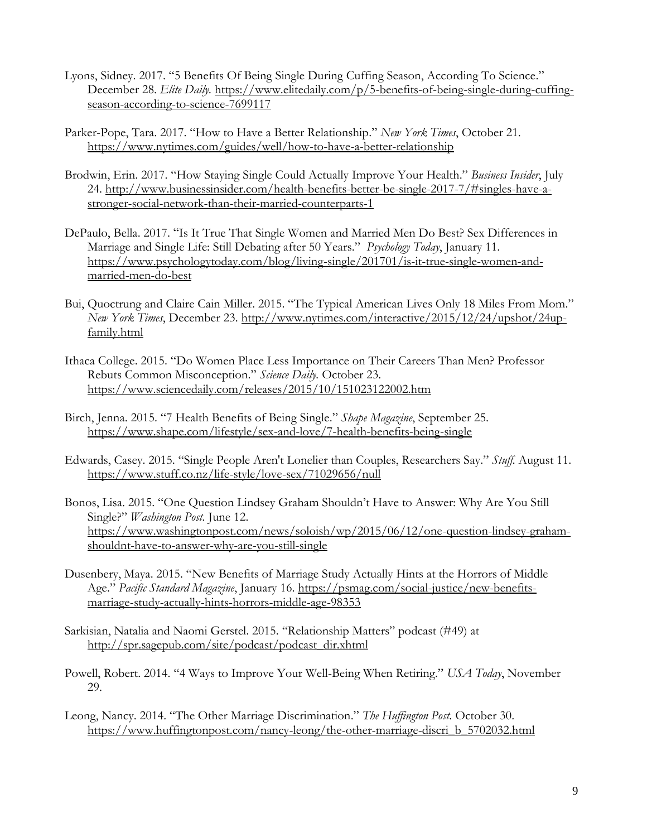- Lyons, Sidney. 2017. "5 Benefits Of Being Single During Cuffing Season, According To Science." December 28. *Elite Daily*. [https://www.elitedaily.com/p/5-benefits-of-being-single-during-cuffing](https://www.elitedaily.com/p/5-benefits-of-being-single-during-cuffing-season-according-to-science-7699117)[season-according-to-science-7699117](https://www.elitedaily.com/p/5-benefits-of-being-single-during-cuffing-season-according-to-science-7699117)
- Parker-Pope, Tara. 2017. "How to Have a Better Relationship." *New York Times*, October 21. <https://www.nytimes.com/guides/well/how-to-have-a-better-relationship>
- Brodwin, Erin. 2017. "How Staying Single Could Actually Improve Your Health." *Business Insider*, July 24. [http://www.businessinsider.com/health-benefits-better-be-single-2017-7/#singles-have-a](http://www.businessinsider.com/health-benefits-better-be-single-2017-7/%23singles-have-a-stronger-social-network-than-their-married-counterparts-1)[stronger-social-network-than-their-married-counterparts-1](http://www.businessinsider.com/health-benefits-better-be-single-2017-7/%23singles-have-a-stronger-social-network-than-their-married-counterparts-1)
- DePaulo, Bella. 2017. "Is It True That Single Women and Married Men Do Best? Sex Differences in Marriage and Single Life: Still Debating after 50 Years." *Psychology Today*, January 11. [https://www.psychologytoday.com/blog/living-single/201701/is-it-true-single-women-and](https://www.psychologytoday.com/blog/living-single/201701/is-it-true-single-women-and-married-men-do-best)[married-men-do-best](https://www.psychologytoday.com/blog/living-single/201701/is-it-true-single-women-and-married-men-do-best)
- Bui, Quoctrung and Claire Cain Miller. 2015. "The Typical American Lives Only 18 Miles From Mom." *New York Times*, December 23. [http://www.nytimes.com/interactive/2015/12/24/upshot/24up](http://www.nytimes.com/interactive/2015/12/24/upshot/24up-family.html)[family.html](http://www.nytimes.com/interactive/2015/12/24/upshot/24up-family.html)
- Ithaca College. 2015. "Do Women Place Less Importance on Their Careers Than Men? Professor Rebuts Common Misconception." *Science Daily.* October 23. <https://www.sciencedaily.com/releases/2015/10/151023122002.htm>
- Birch, Jenna. 2015. "7 Health Benefits of Being Single." *Shape Magazine*, September 25. <https://www.shape.com/lifestyle/sex-and-love/7-health-benefits-being-single>
- Edwards, Casey. 2015. "Single People Aren't Lonelier than Couples, Researchers Say." *Stuff.* August 11. <https://www.stuff.co.nz/life-style/love-sex/71029656/null>
- Bonos, Lisa. 2015. "One Question Lindsey Graham Shouldn't Have to Answer: Why Are You Still Single?" *Washington Post.* June 12. [https://www.washingtonpost.com/news/soloish/wp/2015/06/12/one-question-lindsey-graham](https://www.washingtonpost.com/news/soloish/wp/2015/06/12/one-question-lindsey-graham-shouldnt-have-to-answer-why-are-you-still-single)[shouldnt-have-to-answer-why-are-you-still-single](https://www.washingtonpost.com/news/soloish/wp/2015/06/12/one-question-lindsey-graham-shouldnt-have-to-answer-why-are-you-still-single)
- Dusenbery, Maya. 2015. "New Benefits of Marriage Study Actually Hints at the Horrors of Middle Age." *Pacific Standard Magazine*, January 16. [https://psmag.com/social-justice/new-benefits](https://psmag.com/social-justice/new-benefits-marriage-study-actually-hints-horrors-middle-age-98353)[marriage-study-actually-hints-horrors-middle-age-98353](https://psmag.com/social-justice/new-benefits-marriage-study-actually-hints-horrors-middle-age-98353)
- Sarkisian, Natalia and Naomi Gerstel. 2015. "Relationship Matters" podcast (#49) at [http://spr.sagepub.com/site/podcast/podcast\\_dir.xhtml](http://spr.sagepub.com/site/podcast/podcast_dir.xhtml)
- Powell, Robert. 2014. "4 Ways to Improve Your Well-Being When Retiring." *USA Today*, November 29.
- Leong, Nancy. 2014. "The Other Marriage Discrimination." *The Huffington Post.* October 30. [https://www.huffingtonpost.com/nancy-leong/the-other-marriage-discri\\_b\\_5702032.html](https://www.huffingtonpost.com/nancy-leong/the-other-marriage-discri_b_5702032.html)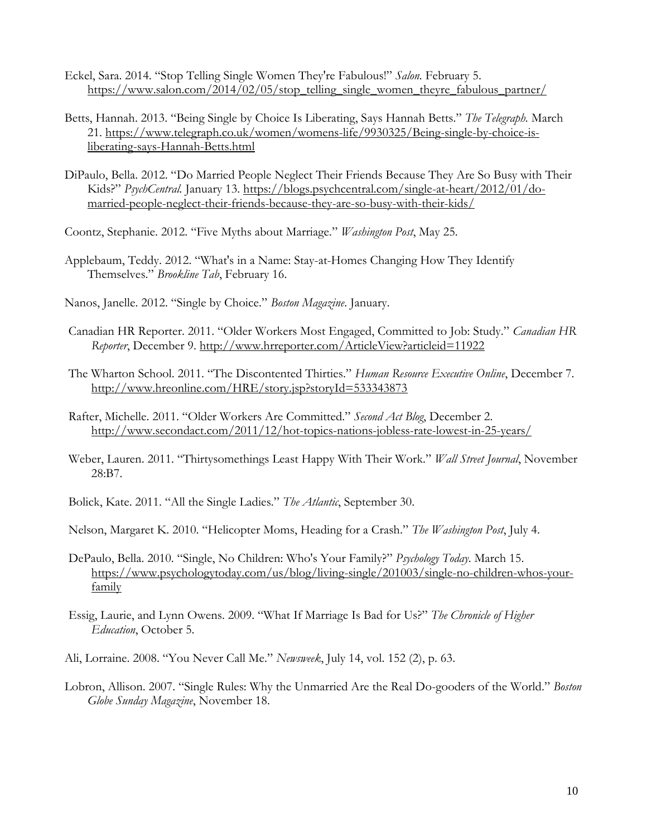- Eckel, Sara. 2014. "Stop Telling Single Women They're Fabulous!" *Salon.* February 5. [https://www.salon.com/2014/02/05/stop\\_telling\\_single\\_women\\_theyre\\_fabulous\\_partner/](https://www.salon.com/2014/02/05/stop_telling_single_women_theyre_fabulous_partner/)
- Betts, Hannah. 2013. "Being Single by Choice Is Liberating, Says Hannah Betts." *The Telegraph.* March 21. [https://www.telegraph.co.uk/women/womens-life/9930325/Being-single-by-choice-is](https://www.telegraph.co.uk/women/womens-life/9930325/Being-single-by-choice-is-liberating-says-Hannah-Betts.html)[liberating-says-Hannah-Betts.html](https://www.telegraph.co.uk/women/womens-life/9930325/Being-single-by-choice-is-liberating-says-Hannah-Betts.html)
- DiPaulo, Bella. 2012. "Do Married People Neglect Their Friends Because They Are So Busy with Their Kids?" *PsychCentral.* January 13. [https://blogs.psychcentral.com/single-at-heart/2012/01/do](https://blogs.psychcentral.com/single-at-heart/2012/01/do-married-people-neglect-their-friends-because-they-are-so-busy-with-their-kids/)[married-people-neglect-their-friends-because-they-are-so-busy-with-their-kids/](https://blogs.psychcentral.com/single-at-heart/2012/01/do-married-people-neglect-their-friends-because-they-are-so-busy-with-their-kids/)
- Coontz, Stephanie. 2012. "Five Myths about Marriage." *Washington Post*, May 25.
- Applebaum, Teddy. 2012. "What's in a Name: Stay-at-Homes Changing How They Identify Themselves." *Brookline Tab*, February 16.
- Nanos, Janelle. 2012. "Single by Choice." *Boston Magazine*. January.
- Canadian HR Reporter. 2011. "Older Workers Most Engaged, Committed to Job: Study." *Canadian HR Reporter*, December 9.<http://www.hrreporter.com/ArticleView?articleid=11922>
- The Wharton School. 2011. "The Discontented Thirties." *Human Resource Executive Online*, December 7. <http://www.hreonline.com/HRE/story.jsp?storyId=533343873>
- Rafter, Michelle. 2011. "Older Workers Are Committed." *Second Act Blog*, December 2. <http://www.secondact.com/2011/12/hot-topics-nations-jobless-rate-lowest-in-25-years/>
- Weber, Lauren. 2011. "Thirtysomethings Least Happy With Their Work." *Wall Street Journal*, November 28:B7.
- Bolick, Kate. 2011. "All the Single Ladies." *The Atlantic*, September 30.
- Nelson, Margaret K. 2010. "Helicopter Moms, Heading for a Crash." *The Washington Post*, July 4.
- DePaulo, Bella. 2010. "Single, No Children: Who's Your Family?" *Psychology Today*. March 15. [https://www.psychologytoday.com/us/blog/living-single/201003/single-no-children-whos-your](https://www.psychologytoday.com/us/blog/living-single/201003/single-no-children-whos-your-family)[family](https://www.psychologytoday.com/us/blog/living-single/201003/single-no-children-whos-your-family)
- Essig, Laurie, and Lynn Owens. 2009. "What If Marriage Is Bad for Us?" *The Chronicle of Higher Education*, October 5.
- Ali, Lorraine. 2008. "You Never Call Me." *Newsweek*, July 14, vol. 152 (2), p. 63.
- Lobron, Allison. 2007. "Single Rules: Why the Unmarried Are the Real Do-gooders of the World." *Boston Globe Sunday Magazine*, November 18.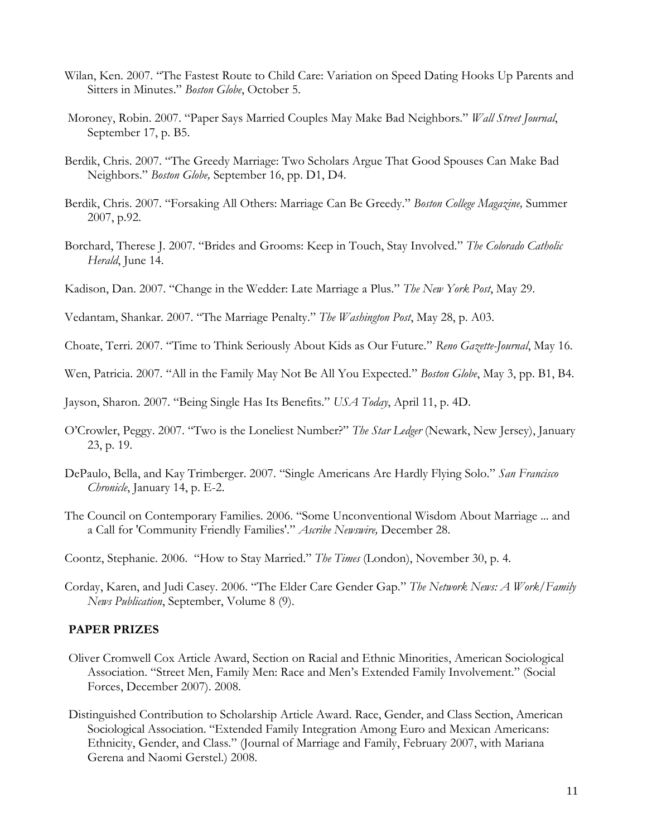- Wilan, Ken. 2007. "The Fastest Route to Child Care: Variation on Speed Dating Hooks Up Parents and Sitters in Minutes." *Boston Globe*, October 5.
- Moroney, Robin. 2007. "Paper Says Married Couples May Make Bad Neighbors." *Wall Street Journal*, September 17, p. B5.
- Berdik, Chris. 2007. "The Greedy Marriage: Two Scholars Argue That Good Spouses Can Make Bad Neighbors." *Boston Globe,* September 16, pp. D1, D4.
- Berdik, Chris. 2007. "Forsaking All Others: Marriage Can Be Greedy." *Boston College Magazine,* Summer 2007, p.92.
- Borchard, Therese J. 2007. "Brides and Grooms: Keep in Touch, Stay Involved." *The Colorado Catholic Herald*, June 14.
- Kadison, Dan. 2007. "Change in the Wedder: Late Marriage a Plus." *The New York Post*, May 29.

Vedantam, Shankar. 2007. "[The Marriage Penalty.](http://web.lexis-nexis.com/universe/document?_m=f95bfd8ec4ecd4a657ea0dbca2abd7a3&_docnum=1&wchp=dGLbVzb-zSkVA&_md5=57b4280007ccf7a34aaa30d71aef2bbb)" *The Washington Post*, May 28, p. A03.

- Choate, Terri. 2007. "Time to Think Seriously About Kids as Our Future." *Reno Gazette-Journal*, May 16.
- Wen, Patricia. 2007. "All in the Family May Not Be All You Expected." *Boston Globe*, May 3, pp. B1, B4.

Jayson, Sharon. 2007. "Being Single Has Its Benefits." *USA Today*, April 11, p. 4D.

- O'Crowler, Peggy. 2007. "Two is the Loneliest Number?" *The Star Ledger* (Newark, New Jersey), January 23, p. 19.
- DePaulo, Bella, and Kay Trimberger. 2007. "Single Americans Are Hardly Flying Solo." *San Francisco Chronicle*, January 14, p. E-2.
- The Council on Contemporary Families. 2006. "Some Unconventional Wisdom About Marriage ... and a Call for 'Community Friendly Families'." *Ascribe Newswire,* December 28.
- Coontz, Stephanie. 2006. "How to Stay Married." *The Times* (London), November 30, p. 4.
- Corday, Karen, and Judi Casey. 2006. "The Elder Care Gender Gap." *The Network News: A Work/Family News Publication*, September, Volume 8 (9).

#### **PAPER PRIZES**

- Oliver Cromwell Cox Article Award, Section on Racial and Ethnic Minorities, American Sociological Association. "Street Men, Family Men: Race and Men's Extended Family Involvement." (Social Forces, December 2007). 2008.
- Distinguished Contribution to Scholarship Article Award. Race, Gender, and Class Section, American Sociological Association. "Extended Family Integration Among Euro and Mexican Americans: Ethnicity, Gender, and Class." (Journal of Marriage and Family, February 2007, with Mariana Gerena and Naomi Gerstel.) 2008.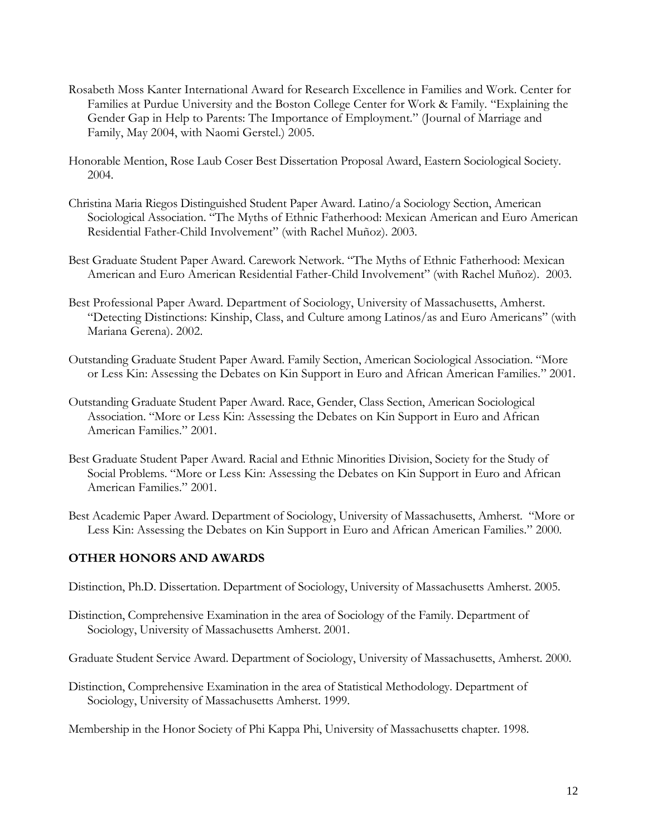- Rosabeth Moss Kanter International Award for Research Excellence in Families and Work. Center for Families at Purdue University and the Boston College Center for Work & Family. "Explaining the Gender Gap in Help to Parents: The Importance of Employment." (Journal of Marriage and Family, May 2004, with Naomi Gerstel.) 2005.
- Honorable Mention, Rose Laub Coser Best Dissertation Proposal Award, Eastern Sociological Society. 2004.
- Christina Maria Riegos Distinguished Student Paper Award. Latino/a Sociology Section, American Sociological Association. "The Myths of Ethnic Fatherhood: Mexican American and Euro American Residential Father-Child Involvement" (with Rachel Muñoz). 2003.
- Best Graduate Student Paper Award. Carework Network. "The Myths of Ethnic Fatherhood: Mexican American and Euro American Residential Father-Child Involvement" (with Rachel Muñoz). 2003.
- Best Professional Paper Award. Department of Sociology, University of Massachusetts, Amherst. "Detecting Distinctions: Kinship, Class, and Culture among Latinos/as and Euro Americans" (with Mariana Gerena). 2002.
- Outstanding Graduate Student Paper Award. Family Section, American Sociological Association. "More or Less Kin: Assessing the Debates on Kin Support in Euro and African American Families." 2001.
- Outstanding Graduate Student Paper Award. Race, Gender, Class Section, American Sociological Association. "More or Less Kin: Assessing the Debates on Kin Support in Euro and African American Families." 2001.
- Best Graduate Student Paper Award. Racial and Ethnic Minorities Division, Society for the Study of Social Problems. "More or Less Kin: Assessing the Debates on Kin Support in Euro and African American Families." 2001.
- Best Academic Paper Award. Department of Sociology, University of Massachusetts, Amherst. "More or Less Kin: Assessing the Debates on Kin Support in Euro and African American Families." 2000.

# **OTHER HONORS AND AWARDS**

Distinction, Ph.D. Dissertation. Department of Sociology, University of Massachusetts Amherst. 2005.

Distinction, Comprehensive Examination in the area of Sociology of the Family. Department of Sociology, University of Massachusetts Amherst. 2001.

Graduate Student Service Award. Department of Sociology, University of Massachusetts, Amherst. 2000.

Distinction, Comprehensive Examination in the area of Statistical Methodology. Department of Sociology, University of Massachusetts Amherst. 1999.

Membership in the Honor Society of Phi Kappa Phi, University of Massachusetts chapter. 1998.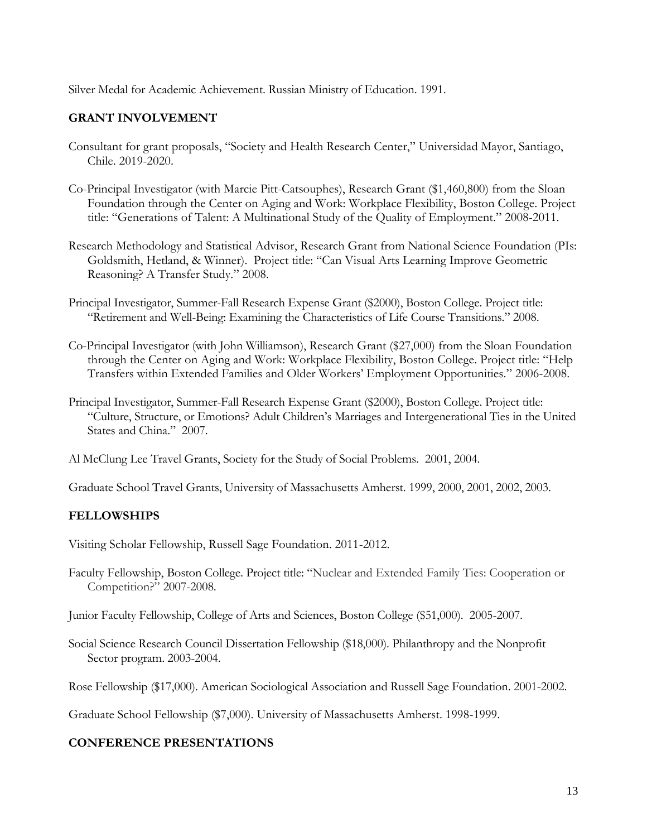Silver Medal for Academic Achievement. Russian Ministry of Education. 1991.

## **GRANT INVOLVEMENT**

- Consultant for grant proposals, "Society and Health Research Center," Universidad Mayor, Santiago, Chile. 2019-2020.
- Co-Principal Investigator (with Marcie Pitt-Catsouphes), Research Grant (\$1,460,800) from the Sloan Foundation through the Center on Aging and Work: Workplace Flexibility, Boston College. Project title: "Generations of Talent: A Multinational Study of the Quality of Employment." 2008-2011.
- Research Methodology and Statistical Advisor, Research Grant from National Science Foundation (PIs: Goldsmith, Hetland, & Winner). Project title: "Can Visual Arts Learning Improve Geometric Reasoning? A Transfer Study." 2008.
- Principal Investigator, Summer-Fall Research Expense Grant (\$2000), Boston College. Project title: "Retirement and Well-Being: Examining the Characteristics of Life Course Transitions." 2008.
- Co-Principal Investigator (with John Williamson), Research Grant (\$27,000) from the Sloan Foundation through the Center on Aging and Work: Workplace Flexibility, Boston College. Project title: "Help Transfers within Extended Families and Older Workers' Employment Opportunities." 2006-2008.
- Principal Investigator, Summer-Fall Research Expense Grant (\$2000), Boston College. Project title: "Culture, Structure, or Emotions? Adult Children's Marriages and Intergenerational Ties in the United States and China." 2007.
- Al McClung Lee Travel Grants, Society for the Study of Social Problems. 2001, 2004.

Graduate School Travel Grants, University of Massachusetts Amherst. 1999, 2000, 2001, 2002, 2003.

# **FELLOWSHIPS**

Visiting Scholar Fellowship, Russell Sage Foundation. 2011-2012.

Faculty Fellowship, Boston College. Project title: "Nuclear and Extended Family Ties: Cooperation or Competition?" 2007-2008.

Junior Faculty Fellowship, College of Arts and Sciences, Boston College (\$51,000). 2005-2007.

Social Science Research Council Dissertation Fellowship (\$18,000). Philanthropy and the Nonprofit Sector program. 2003-2004.

Rose Fellowship (\$17,000). American Sociological Association and Russell Sage Foundation. 2001-2002.

Graduate School Fellowship (\$7,000). University of Massachusetts Amherst. 1998-1999.

#### **CONFERENCE PRESENTATIONS**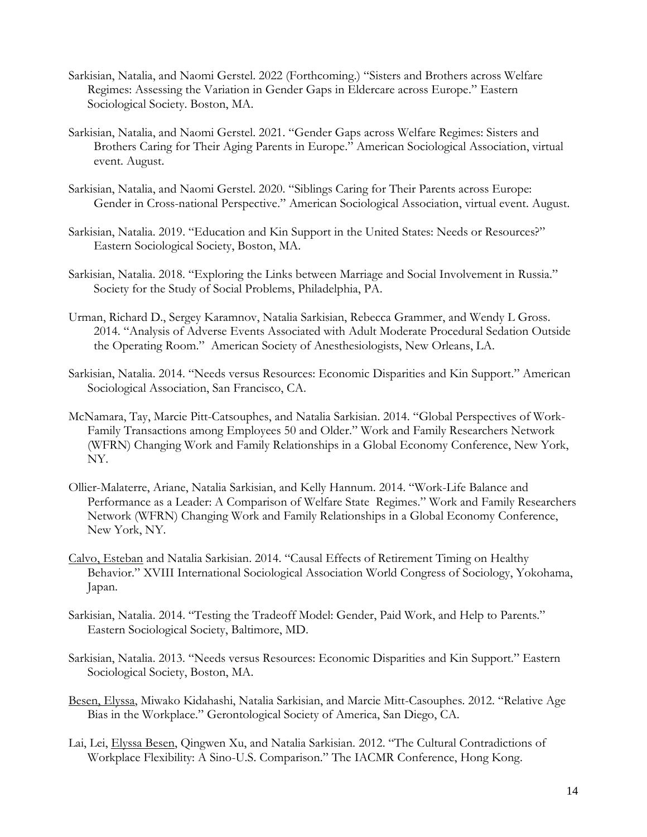- Sarkisian, Natalia, and Naomi Gerstel. 2022 (Forthcoming.) "Sisters and Brothers across Welfare Regimes: Assessing the Variation in Gender Gaps in Eldercare across Europe." Eastern Sociological Society. Boston, MA.
- Sarkisian, Natalia, and Naomi Gerstel. 2021. "Gender Gaps across Welfare Regimes: Sisters and Brothers Caring for Their Aging Parents in Europe." American Sociological Association, virtual event. August.
- Sarkisian, Natalia, and Naomi Gerstel. 2020. "Siblings Caring for Their Parents across Europe: Gender in Cross-national Perspective." American Sociological Association, virtual event. August.
- Sarkisian, Natalia. 2019. "Education and Kin Support in the United States: Needs or Resources?" Eastern Sociological Society, Boston, MA.
- Sarkisian, Natalia. 2018. "Exploring the Links between Marriage and Social Involvement in Russia." Society for the Study of Social Problems, Philadelphia, PA.
- Urman, Richard D., Sergey Karamnov, Natalia Sarkisian, Rebecca Grammer, and Wendy L Gross. 2014. "Analysis of Adverse Events Associated with Adult Moderate Procedural Sedation Outside the Operating Room." American Society of Anesthesiologists, New Orleans, LA.
- Sarkisian, Natalia. 2014. "Needs versus Resources: Economic Disparities and Kin Support." American Sociological Association, San Francisco, CA.
- McNamara, Tay, Marcie Pitt-Catsouphes, and Natalia Sarkisian. 2014. "Global Perspectives of Work-Family Transactions among Employees 50 and Older." Work and Family Researchers Network (WFRN) Changing Work and Family Relationships in a Global Economy Conference, New York, NY.
- Ollier-Malaterre, Ariane, Natalia Sarkisian, and Kelly Hannum. 2014. "Work-Life Balance and Performance as a Leader: A Comparison of Welfare State Regimes." Work and Family Researchers Network (WFRN) Changing Work and Family Relationships in a Global Economy Conference, New York, NY.
- Calvo, Esteban and Natalia Sarkisian. 2014. "Causal Effects of Retirement Timing on Healthy Behavior." XVIII International Sociological Association World Congress of Sociology, Yokohama, Japan.
- Sarkisian, Natalia. 2014. "Testing the Tradeoff Model: Gender, Paid Work, and Help to Parents." Eastern Sociological Society, Baltimore, MD.
- Sarkisian, Natalia. 2013. "Needs versus Resources: Economic Disparities and Kin Support." Eastern Sociological Society, Boston, MA.
- Besen, Elyssa, Miwako Kidahashi, Natalia Sarkisian, and Marcie Mitt-Casouphes. 2012. "Relative Age Bias in the Workplace." Gerontological Society of America, San Diego, CA.
- Lai, Lei, Elyssa Besen, Qingwen Xu, and Natalia Sarkisian. 2012. "The Cultural Contradictions of Workplace Flexibility: A Sino-U.S. Comparison." The IACMR Conference, Hong Kong.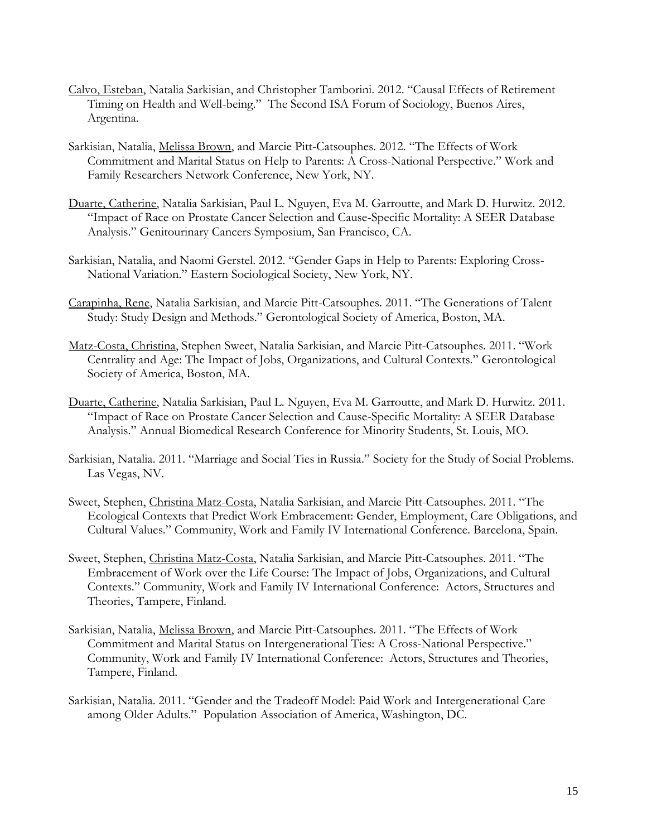- Calvo, Esteban, Natalia Sarkisian, and Christopher Tamborini. 2012. "Causal Effects of Retirement Timing on Health and Well-being." The Second ISA Forum of Sociology, Buenos Aires, Argentina.
- Sarkisian, Natalia, Melissa Brown, and Marcie Pitt-Catsouphes. 2012. "The Effects of Work Commitment and Marital Status on Help to Parents: A Cross-National Perspective." Work and Family Researchers Network Conference, New York, NY.
- Duarte, Catherine, Natalia Sarkisian, Paul L. Nguyen, Eva M. Garroutte, and Mark D. Hurwitz. 2012. "Impact of Race on Prostate Cancer Selection and Cause-Specific Mortality: A SEER Database Analysis." Genitourinary Cancers Symposium, San Francisco, CA.
- Sarkisian, Natalia, and Naomi Gerstel. 2012. "Gender Gaps in Help to Parents: Exploring Cross-National Variation." Eastern Sociological Society, New York, NY.
- Carapinha, Rene, Natalia Sarkisian, and Marcie Pitt-Catsouphes. 2011. "The Generations of Talent Study: Study Design and Methods." Gerontological Society of America, Boston, MA.
- Matz-Costa, Christina, Stephen Sweet, Natalia Sarkisian, and Marcie Pitt-Catsouphes. 2011. "Work Centrality and Age: The Impact of Jobs, Organizations, and Cultural Contexts." Gerontological Society of America, Boston, MA.
- Duarte, Catherine, Natalia Sarkisian, Paul L. Nguyen, Eva M. Garroutte, and Mark D. Hurwitz. 2011. "Impact of Race on Prostate Cancer Selection and Cause-Specific Mortality: A SEER Database Analysis." Annual Biomedical Research Conference for Minority Students, St. Louis, MO.
- Sarkisian, Natalia. 2011. "Marriage and Social Ties in Russia." Society for the Study of Social Problems. Las Vegas, NV.
- Sweet, Stephen, Christina Matz-Costa, Natalia Sarkisian, and Marcie Pitt-Catsouphes. 2011. "The Ecological Contexts that Predict Work Embracement: Gender, Employment, Care Obligations, and Cultural Values." Community, Work and Family IV International Conference. Barcelona, Spain.
- Sweet, Stephen, Christina Matz-Costa, Natalia Sarkisian, and Marcie Pitt-Catsouphes. 2011. "The Embracement of Work over the Life Course: The Impact of Jobs, Organizations, and Cultural Contexts." Community, Work and Family IV International Conference: Actors, Structures and Theories, Tampere, Finland.
- Sarkisian, Natalia, Melissa Brown, and Marcie Pitt-Catsouphes. 2011. "The Effects of Work Commitment and Marital Status on Intergenerational Ties: A Cross-National Perspective." Community, Work and Family IV International Conference: Actors, Structures and Theories, Tampere, Finland.
- Sarkisian, Natalia. 2011. "Gender and the Tradeoff Model: Paid Work and Intergenerational Care among Older Adults." Population Association of America, Washington, DC.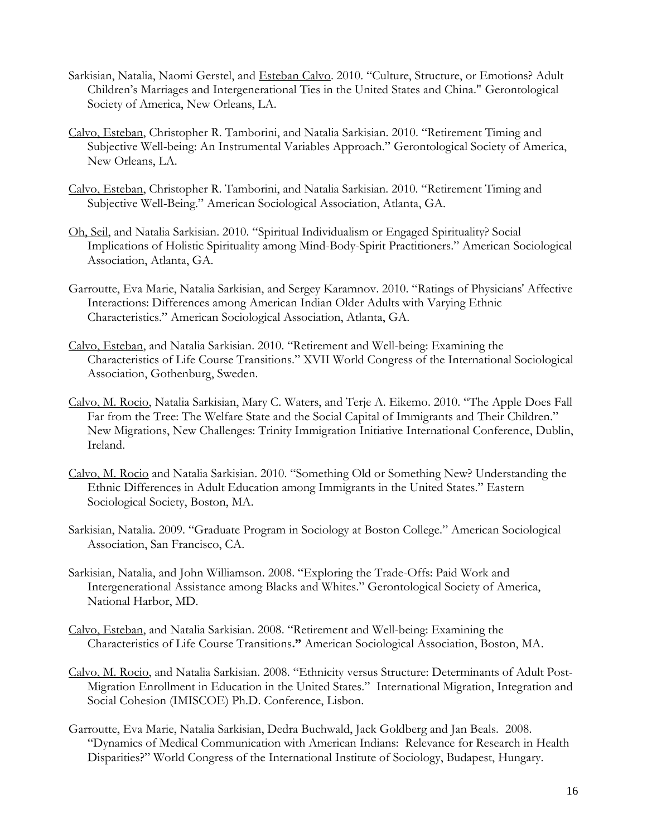- Sarkisian, Natalia, Naomi Gerstel, and Esteban Calvo. 2010. "Culture, Structure, or Emotions? Adult Children's Marriages and Intergenerational Ties in the United States and China." Gerontological Society of America, New Orleans, LA.
- Calvo, Esteban, Christopher R. Tamborini, and Natalia Sarkisian. 2010. "Retirement Timing and Subjective Well-being: An Instrumental Variables Approach." Gerontological Society of America, New Orleans, LA.
- Calvo, Esteban, Christopher R. Tamborini, and Natalia Sarkisian. 2010. "Retirement Timing and Subjective Well-Being." American Sociological Association, Atlanta, GA.
- Oh, Seil, and Natalia Sarkisian. 2010. "Spiritual Individualism or Engaged Spirituality? Social Implications of Holistic Spirituality among Mind-Body-Spirit Practitioners." American Sociological Association, Atlanta, GA.
- Garroutte, Eva Marie, Natalia Sarkisian, and Sergey Karamnov. 2010. "Ratings of Physicians' Affective Interactions: Differences among American Indian Older Adults with Varying Ethnic Characteristics." American Sociological Association, Atlanta, GA.
- Calvo, Esteban, and Natalia Sarkisian. 2010. "Retirement and Well-being: Examining the Characteristics of Life Course Transitions." XVII World Congress of the International Sociological Association, Gothenburg, Sweden.
- Calvo, M. Rocio, Natalia Sarkisian, Mary C. Waters, and Terje A. Eikemo. 2010. "The Apple Does Fall Far from the Tree: The Welfare State and the Social Capital of Immigrants and Their Children." New Migrations, New Challenges: Trinity Immigration Initiative International Conference, Dublin, Ireland.
- Calvo, M. Rocio and Natalia Sarkisian. 2010. "Something Old or Something New? Understanding the Ethnic Differences in Adult Education among Immigrants in the United States." Eastern Sociological Society, Boston, MA.
- Sarkisian, Natalia. 2009. "Graduate Program in Sociology at Boston College." American Sociological Association, San Francisco, CA.
- Sarkisian, Natalia, and John Williamson. 2008. "Exploring the Trade-Offs: Paid Work and Intergenerational Assistance among Blacks and Whites." Gerontological Society of America, National Harbor, MD.
- Calvo, Esteban, and Natalia Sarkisian. 2008. "Retirement and Well-being: Examining the Characteristics of Life Course Transitions**."** American Sociological Association, Boston, MA.
- Calvo, M. Rocio, and Natalia Sarkisian. 2008. "Ethnicity versus Structure: Determinants of Adult Post-Migration Enrollment in Education in the United States." International Migration, Integration and Social Cohesion (IMISCOE) Ph.D. Conference, Lisbon.
- Garroutte, Eva Marie, Natalia Sarkisian, Dedra Buchwald, Jack Goldberg and Jan Beals. 2008. "Dynamics of Medical Communication with American Indians: Relevance for Research in Health Disparities?" World Congress of the International Institute of Sociology, Budapest, Hungary.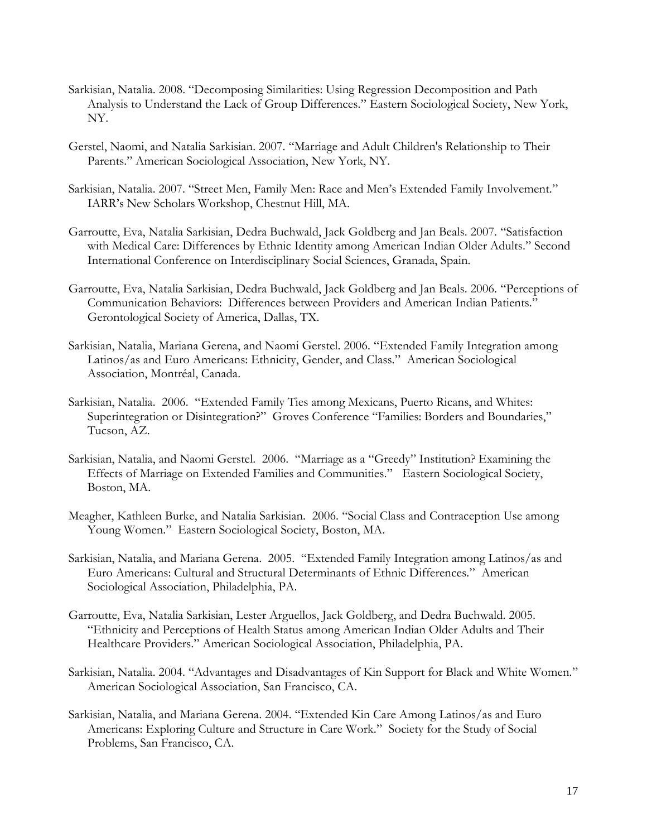- Sarkisian, Natalia. 2008. "Decomposing Similarities: Using Regression Decomposition and Path Analysis to Understand the Lack of Group Differences." Eastern Sociological Society, New York, NY.
- Gerstel, Naomi, and Natalia Sarkisian. 2007. "Marriage and Adult Children's Relationship to Their Parents." American Sociological Association, New York, NY.
- Sarkisian, Natalia. 2007. "Street Men, Family Men: Race and Men's Extended Family Involvement." IARR's New Scholars Workshop, Chestnut Hill, MA.
- Garroutte, Eva, Natalia Sarkisian, Dedra Buchwald, Jack Goldberg and Jan Beals. 2007. "[Satisfaction](http://i07.cgpublisher.com/proposals/683/manage_workspace)  [with Medical Care: Differences by Ethnic Identity among American Indian Older Adults.](http://i07.cgpublisher.com/proposals/683/manage_workspace)" Second International Conference on Interdisciplinary Social Sciences, Granada, Spain.
- Garroutte, Eva, Natalia Sarkisian, Dedra Buchwald, Jack Goldberg and Jan Beals. 2006. "Perceptions of Communication Behaviors: Differences between Providers and American Indian Patients." Gerontological Society of America, Dallas, TX.
- Sarkisian, Natalia, Mariana Gerena, and Naomi Gerstel. 2006. "Extended Family Integration among Latinos/as and Euro Americans: Ethnicity, Gender, and Class." American Sociological Association, Montréal, Canada.
- Sarkisian, Natalia. 2006. "Extended Family Ties among Mexicans, Puerto Ricans, and Whites: Superintegration or Disintegration?" Groves Conference "Families: Borders and Boundaries," Tucson, AZ.
- Sarkisian, Natalia, and Naomi Gerstel. 2006. "Marriage as a "Greedy" Institution? Examining the Effects of Marriage on Extended Families and Communities." Eastern Sociological Society, Boston, MA.
- Meagher, Kathleen Burke, and Natalia Sarkisian. 2006. "Social Class and Contraception Use among Young Women." Eastern Sociological Society, Boston, MA.
- Sarkisian, Natalia, and Mariana Gerena. 2005. "Extended Family Integration among Latinos/as and Euro Americans: Cultural and Structural Determinants of Ethnic Differences." American Sociological Association, Philadelphia, PA.
- Garroutte, Eva, Natalia Sarkisian, Lester Arguellos, Jack Goldberg, and Dedra Buchwald. 2005. "Ethnicity and Perceptions of Health Status among American Indian Older Adults and Their Healthcare Providers." American Sociological Association, Philadelphia, PA.
- Sarkisian, Natalia. 2004. "Advantages and Disadvantages of Kin Support for Black and White Women." American Sociological Association, San Francisco, CA.
- Sarkisian, Natalia, and Mariana Gerena. 2004. "Extended Kin Care Among Latinos/as and Euro Americans: Exploring Culture and Structure in Care Work." Society for the Study of Social Problems, San Francisco, CA.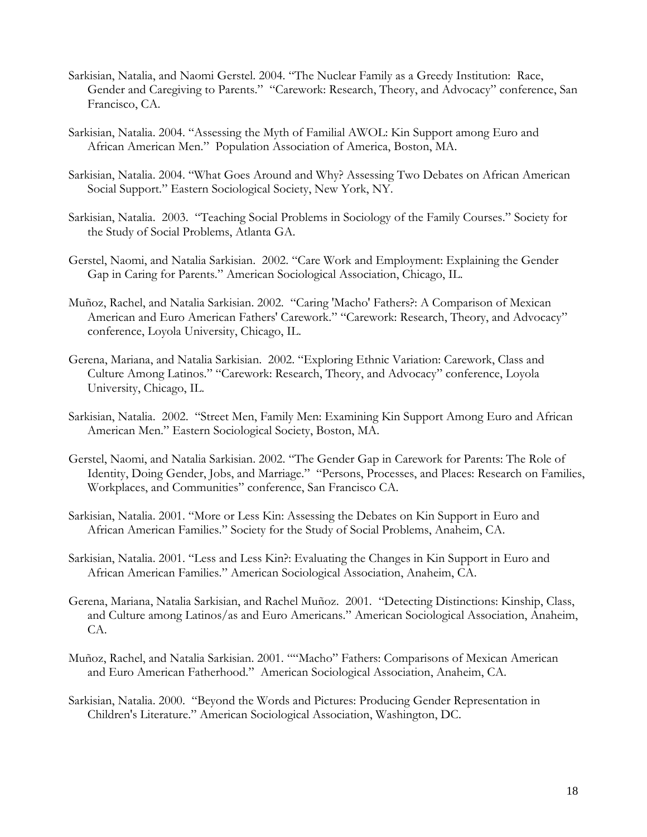- Sarkisian, Natalia, and Naomi Gerstel. 2004. "The Nuclear Family as a Greedy Institution: Race, Gender and Caregiving to Parents." "Carework: Research, Theory, and Advocacy" conference, San Francisco, CA.
- Sarkisian, Natalia. 2004. "Assessing the Myth of Familial AWOL: Kin Support among Euro and African American Men." Population Association of America, Boston, MA.
- Sarkisian, Natalia. 2004. "What Goes Around and Why? Assessing Two Debates on African American Social Support." Eastern Sociological Society, New York, NY.
- Sarkisian, Natalia. 2003. "Teaching Social Problems in Sociology of the Family Courses." Society for the Study of Social Problems, Atlanta GA.
- Gerstel, Naomi, and Natalia Sarkisian. 2002. "Care Work and Employment: Explaining the Gender Gap in Caring for Parents." American Sociological Association, Chicago, IL.
- Muñoz, Rachel, and Natalia Sarkisian. 2002. "Caring 'Macho' Fathers?: A Comparison of Mexican American and Euro American Fathers' Carework." "Carework: Research, Theory, and Advocacy" conference, Loyola University, Chicago, IL.
- Gerena, Mariana, and Natalia Sarkisian. 2002. "Exploring Ethnic Variation: Carework, Class and Culture Among Latinos." "Carework: Research, Theory, and Advocacy" conference, Loyola University, Chicago, IL.
- Sarkisian, Natalia. 2002. "Street Men, Family Men: Examining Kin Support Among Euro and African American Men." Eastern Sociological Society, Boston, MA.
- Gerstel, Naomi, and Natalia Sarkisian. 2002. "The Gender Gap in Carework for Parents: The Role of Identity, Doing Gender, Jobs, and Marriage." "Persons, Processes, and Places: Research on Families, Workplaces, and Communities" conference, San Francisco CA.
- Sarkisian, Natalia. 2001. "More or Less Kin: Assessing the Debates on Kin Support in Euro and African American Families." Society for the Study of Social Problems, Anaheim, CA.
- Sarkisian, Natalia. 2001. "Less and Less Kin?: Evaluating the Changes in Kin Support in Euro and African American Families." American Sociological Association, Anaheim, CA.
- Gerena, Mariana, Natalia Sarkisian, and Rachel Muñoz. 2001. "Detecting Distinctions: Kinship, Class, and Culture among Latinos/as and Euro Americans." American Sociological Association, Anaheim, CA.
- Muñoz, Rachel, and Natalia Sarkisian. 2001. ""Macho" Fathers: Comparisons of Mexican American and Euro American Fatherhood." American Sociological Association, Anaheim, CA.
- Sarkisian, Natalia. 2000. "Beyond the Words and Pictures: Producing Gender Representation in Children's Literature." American Sociological Association, Washington, DC.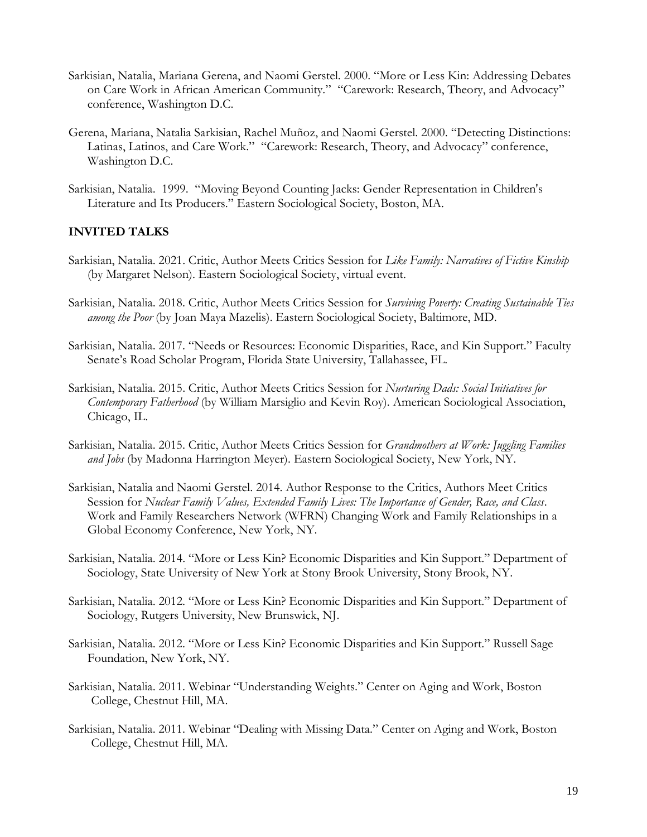- Sarkisian, Natalia, Mariana Gerena, and Naomi Gerstel. 2000. "More or Less Kin: Addressing Debates on Care Work in African American Community." "Carework: Research, Theory, and Advocacy" conference, Washington D.C.
- Gerena, Mariana, Natalia Sarkisian, Rachel Muñoz, and Naomi Gerstel. 2000. "Detecting Distinctions: Latinas, Latinos, and Care Work." "Carework: Research, Theory, and Advocacy" conference, Washington D.C.
- Sarkisian, Natalia. 1999. "Moving Beyond Counting Jacks: Gender Representation in Children's Literature and Its Producers." Eastern Sociological Society, Boston, MA.

#### **INVITED TALKS**

- Sarkisian, Natalia. 2021. Critic, Author Meets Critics Session for *Like Family: Narratives of Fictive Kinship* (by Margaret Nelson). Eastern Sociological Society, virtual event.
- Sarkisian, Natalia. 2018. Critic, Author Meets Critics Session for *Surviving Poverty: Creating Sustainable Ties among the Poor* (by Joan Maya Mazelis). Eastern Sociological Society, Baltimore, MD.
- Sarkisian, Natalia. 2017. "Needs or Resources: Economic Disparities, Race, and Kin Support." Faculty Senate's Road Scholar Program, Florida State University, Tallahassee, FL.
- Sarkisian, Natalia. 2015. Critic, Author Meets Critics Session for *Nurturing Dads: Social Initiatives for Contemporary Fatherhood* (by William Marsiglio and Kevin Roy). American Sociological Association, Chicago, IL.
- Sarkisian, Natalia. 2015. Critic, Author Meets Critics Session for *Grandmothers at Work: Juggling Families and Jobs* (by Madonna Harrington Meyer). Eastern Sociological Society, New York, NY.
- Sarkisian, Natalia and Naomi Gerstel. 2014. Author Response to the Critics, Authors Meet Critics Session for *Nuclear Family Values, Extended Family Lives: The Importance of Gender, Race, and Class*. Work and Family Researchers Network (WFRN) Changing Work and Family Relationships in a Global Economy Conference, New York, NY.
- Sarkisian, Natalia. 2014. "More or Less Kin? Economic Disparities and Kin Support." Department of Sociology, State University of New York at Stony Brook University, Stony Brook, NY.
- Sarkisian, Natalia. 2012. "More or Less Kin? Economic Disparities and Kin Support." Department of Sociology, Rutgers University, New Brunswick, NJ.
- Sarkisian, Natalia. 2012. "More or Less Kin? Economic Disparities and Kin Support." Russell Sage Foundation, New York, NY.
- Sarkisian, Natalia. 2011. Webinar "Understanding Weights." Center on Aging and Work, Boston College, Chestnut Hill, MA.
- Sarkisian, Natalia. 2011. Webinar "Dealing with Missing Data." Center on Aging and Work, Boston College, Chestnut Hill, MA.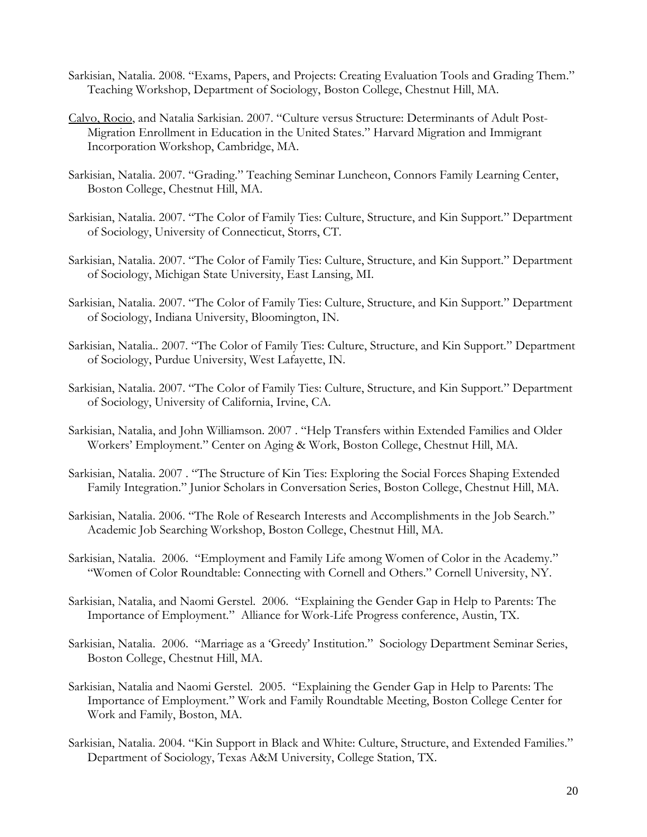- Sarkisian, Natalia. 2008. "Exams, Papers, and Projects: Creating Evaluation Tools and Grading Them." Teaching Workshop, Department of Sociology, Boston College, Chestnut Hill, MA.
- Calvo, Rocio, and Natalia Sarkisian. 2007. "Culture versus Structure: Determinants of Adult Post-Migration Enrollment in Education in the United States." Harvard Migration and Immigrant Incorporation Workshop, Cambridge, MA.
- Sarkisian, Natalia. 2007. "Grading." Teaching Seminar Luncheon, Connors Family Learning Center, Boston College, Chestnut Hill, MA.
- Sarkisian, Natalia. 2007. "The Color of Family Ties: Culture, Structure, and Kin Support." Department of Sociology, University of Connecticut, Storrs, CT.
- Sarkisian, Natalia. 2007. "The Color of Family Ties: Culture, Structure, and Kin Support." Department of Sociology, Michigan State University, East Lansing, MI.
- Sarkisian, Natalia. 2007. "The Color of Family Ties: Culture, Structure, and Kin Support." Department of Sociology, Indiana University, Bloomington, IN.
- Sarkisian, Natalia.. 2007. "The Color of Family Ties: Culture, Structure, and Kin Support." Department of Sociology, Purdue University, West Lafayette, IN.
- Sarkisian, Natalia. 2007. "The Color of Family Ties: Culture, Structure, and Kin Support." Department of Sociology, University of California, Irvine, CA.
- Sarkisian, Natalia, and John Williamson. 2007 . "Help Transfers within Extended Families and Older Workers' Employment." Center on Aging & Work, Boston College, Chestnut Hill, MA.
- Sarkisian, Natalia. 2007 . "The Structure of Kin Ties: Exploring the Social Forces Shaping Extended Family Integration." Junior Scholars in Conversation Series, Boston College, Chestnut Hill, MA.
- Sarkisian, Natalia. 2006. "The Role of Research Interests and Accomplishments in the Job Search." Academic Job Searching Workshop, Boston College, Chestnut Hill, MA.
- Sarkisian, Natalia. 2006. "Employment and Family Life among Women of Color in the Academy." "Women of Color Roundtable: Connecting with Cornell and Others." Cornell University, NY.
- Sarkisian, Natalia, and Naomi Gerstel. 2006. "Explaining the Gender Gap in Help to Parents: The Importance of Employment." Alliance for Work-Life Progress conference, Austin, TX.
- Sarkisian, Natalia. 2006. "Marriage as a 'Greedy' Institution." Sociology Department Seminar Series, Boston College, Chestnut Hill, MA.
- Sarkisian, Natalia and Naomi Gerstel. 2005. "Explaining the Gender Gap in Help to Parents: The Importance of Employment." Work and Family Roundtable Meeting, Boston College Center for Work and Family, Boston, MA.
- Sarkisian, Natalia. 2004. "Kin Support in Black and White: Culture, Structure, and Extended Families." Department of Sociology, Texas A&M University, College Station, TX.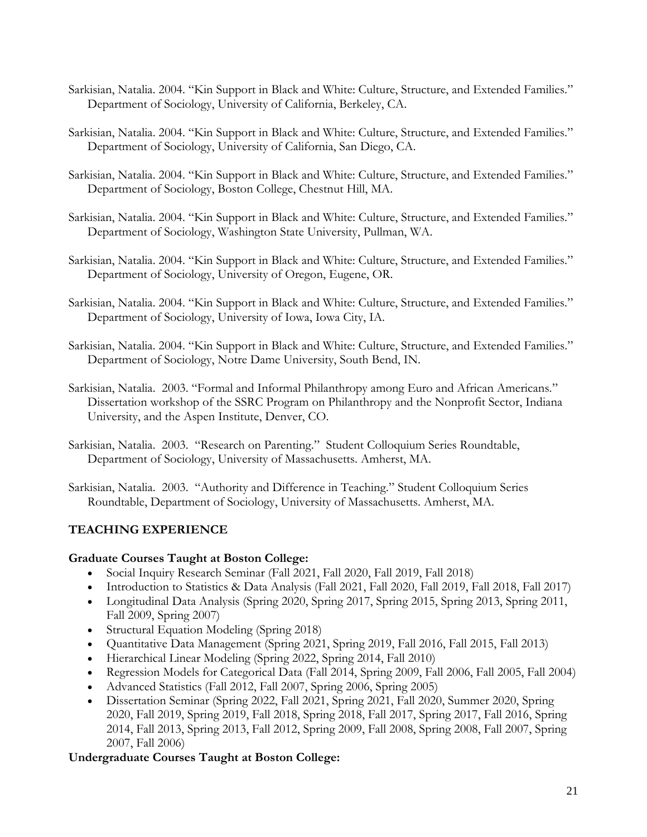- Sarkisian, Natalia. 2004. "Kin Support in Black and White: Culture, Structure, and Extended Families." Department of Sociology, University of California, Berkeley, CA.
- Sarkisian, Natalia. 2004. "Kin Support in Black and White: Culture, Structure, and Extended Families." Department of Sociology, University of California, San Diego, CA.
- Sarkisian, Natalia. 2004. "Kin Support in Black and White: Culture, Structure, and Extended Families." Department of Sociology, Boston College, Chestnut Hill, MA.
- Sarkisian, Natalia. 2004. "Kin Support in Black and White: Culture, Structure, and Extended Families." Department of Sociology, Washington State University, Pullman, WA.
- Sarkisian, Natalia. 2004. "Kin Support in Black and White: Culture, Structure, and Extended Families." Department of Sociology, University of Oregon, Eugene, OR.
- Sarkisian, Natalia. 2004. "Kin Support in Black and White: Culture, Structure, and Extended Families." Department of Sociology, University of Iowa, Iowa City, IA.
- Sarkisian, Natalia. 2004. "Kin Support in Black and White: Culture, Structure, and Extended Families." Department of Sociology, Notre Dame University, South Bend, IN.
- Sarkisian, Natalia. 2003. "Formal and Informal Philanthropy among Euro and African Americans." Dissertation workshop of the SSRC Program on Philanthropy and the Nonprofit Sector, Indiana University, and the Aspen Institute, Denver, CO.
- Sarkisian, Natalia. 2003. "Research on Parenting." Student Colloquium Series Roundtable, Department of Sociology, University of Massachusetts. Amherst, MA.

Sarkisian, Natalia. 2003. "Authority and Difference in Teaching." Student Colloquium Series Roundtable, Department of Sociology, University of Massachusetts. Amherst, MA.

# **TEACHING EXPERIENCE**

#### **Graduate Courses Taught at Boston College:**

- Social Inquiry Research Seminar (Fall 2021, Fall 2020, Fall 2019, Fall 2018)
- Introduction to Statistics & Data Analysis (Fall 2021, Fall 2020, Fall 2019, Fall 2018, Fall 2017)
- Longitudinal Data Analysis (Spring 2020, Spring 2017, Spring 2015, Spring 2013, Spring 2011, Fall 2009, Spring 2007)
- Structural Equation Modeling (Spring 2018)
- Quantitative Data Management (Spring 2021, Spring 2019, Fall 2016, Fall 2015, Fall 2013)
- Hierarchical Linear Modeling (Spring 2022, Spring 2014, Fall 2010)
- Regression Models for Categorical Data (Fall 2014, Spring 2009, Fall 2006, Fall 2005, Fall 2004)
- Advanced Statistics (Fall 2012, Fall 2007, Spring 2006, Spring 2005)
- Dissertation Seminar (Spring 2022, Fall 2021, Spring 2021, Fall 2020, Summer 2020, Spring 2020, Fall 2019, Spring 2019, Fall 2018, Spring 2018, Fall 2017, Spring 2017, Fall 2016, Spring 2014, Fall 2013, Spring 2013, Fall 2012, Spring 2009, Fall 2008, Spring 2008, Fall 2007, Spring 2007, Fall 2006)

# **Undergraduate Courses Taught at Boston College:**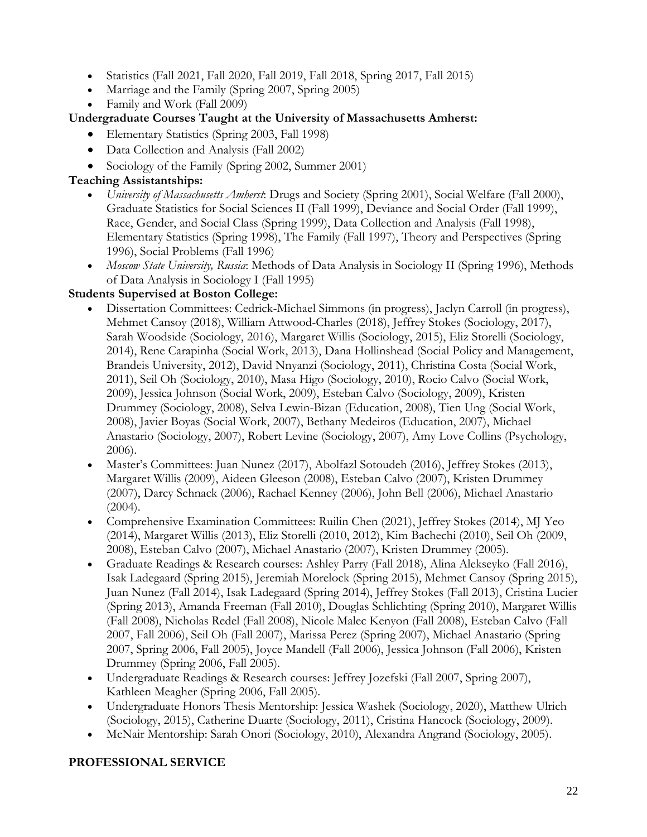- Statistics (Fall 2021, Fall 2020, Fall 2019, Fall 2018, Spring 2017, Fall 2015)
- Marriage and the Family (Spring 2007, Spring 2005)
- Family and Work (Fall 2009)

# **Undergraduate Courses Taught at the University of Massachusetts Amherst:**

- Elementary Statistics (Spring 2003, Fall 1998)
- Data Collection and Analysis (Fall 2002)
- Sociology of the Family (Spring 2002, Summer 2001)

# **Teaching Assistantships:**

- *University of Massachusetts Amherst*: Drugs and Society (Spring 2001), Social Welfare (Fall 2000), Graduate Statistics for Social Sciences II (Fall 1999), Deviance and Social Order (Fall 1999), Race, Gender, and Social Class (Spring 1999), Data Collection and Analysis (Fall 1998), Elementary Statistics (Spring 1998), The Family (Fall 1997), Theory and Perspectives (Spring 1996), Social Problems (Fall 1996)
- *Moscow State University, Russia*: Methods of Data Analysis in Sociology II (Spring 1996), Methods of Data Analysis in Sociology I (Fall 1995)

# **Students Supervised at Boston College:**

- Dissertation Committees: Cedrick-Michael Simmons (in progress), Jaclyn Carroll (in progress), Mehmet Cansoy (2018), William Attwood-Charles (2018), Jeffrey Stokes (Sociology, 2017), Sarah Woodside (Sociology, 2016), Margaret Willis (Sociology, 2015), Eliz Storelli (Sociology, 2014), Rene Carapinha (Social Work, 2013), Dana Hollinshead (Social Policy and Management, Brandeis University, 2012), David Nnyanzi (Sociology, 2011), Christina Costa (Social Work, 2011), Seil Oh (Sociology, 2010), Masa Higo (Sociology, 2010), Rocio Calvo (Social Work, 2009), Jessica Johnson (Social Work, 2009), Esteban Calvo (Sociology, 2009), Kristen Drummey (Sociology, 2008), Selva Lewin-Bizan (Education, 2008), Tien Ung (Social Work, 2008), Javier Boyas (Social Work, 2007), Bethany Medeiros (Education, 2007), Michael Anastario (Sociology, 2007), Robert Levine (Sociology, 2007), Amy Love Collins (Psychology, 2006).
- Master's Committees: Juan Nunez (2017), Abolfazl Sotoudeh (2016), Jeffrey Stokes (2013), Margaret Willis (2009), Aideen Gleeson (2008), Esteban Calvo (2007), Kristen Drummey (2007), Darcy Schnack (2006), Rachael Kenney (2006), John Bell (2006), Michael Anastario  $(2004).$
- Comprehensive Examination Committees: Ruilin Chen (2021), Jeffrey Stokes (2014), MJ Yeo (2014), Margaret Willis (2013), Eliz Storelli (2010, 2012), Kim Bachechi (2010), Seil Oh (2009, 2008), Esteban Calvo (2007), Michael Anastario (2007), Kristen Drummey (2005).
- Graduate Readings & Research courses: Ashley Parry (Fall 2018), Alina Alekseyko (Fall 2016), Isak Ladegaard (Spring 2015), Jeremiah Morelock (Spring 2015), Mehmet Cansoy (Spring 2015), Juan Nunez (Fall 2014), Isak Ladegaard (Spring 2014), Jeffrey Stokes (Fall 2013), Cristina Lucier (Spring 2013), Amanda Freeman (Fall 2010), Douglas Schlichting (Spring 2010), Margaret Willis (Fall 2008), Nicholas Redel (Fall 2008), Nicole Malec Kenyon (Fall 2008), Esteban Calvo (Fall 2007, Fall 2006), Seil Oh (Fall 2007), Marissa Perez (Spring 2007), Michael Anastario (Spring 2007, Spring 2006, Fall 2005), Joyce Mandell (Fall 2006), Jessica Johnson (Fall 2006), Kristen Drummey (Spring 2006, Fall 2005).
- Undergraduate Readings & Research courses: Jeffrey Jozefski (Fall 2007, Spring 2007), Kathleen Meagher (Spring 2006, Fall 2005).
- Undergraduate Honors Thesis Mentorship: Jessica Washek (Sociology, 2020), Matthew Ulrich (Sociology, 2015), Catherine Duarte (Sociology, 2011), Cristina Hancock (Sociology, 2009).
- McNair Mentorship: Sarah Onori (Sociology, 2010), Alexandra Angrand (Sociology, 2005).

# **PROFESSIONAL SERVICE**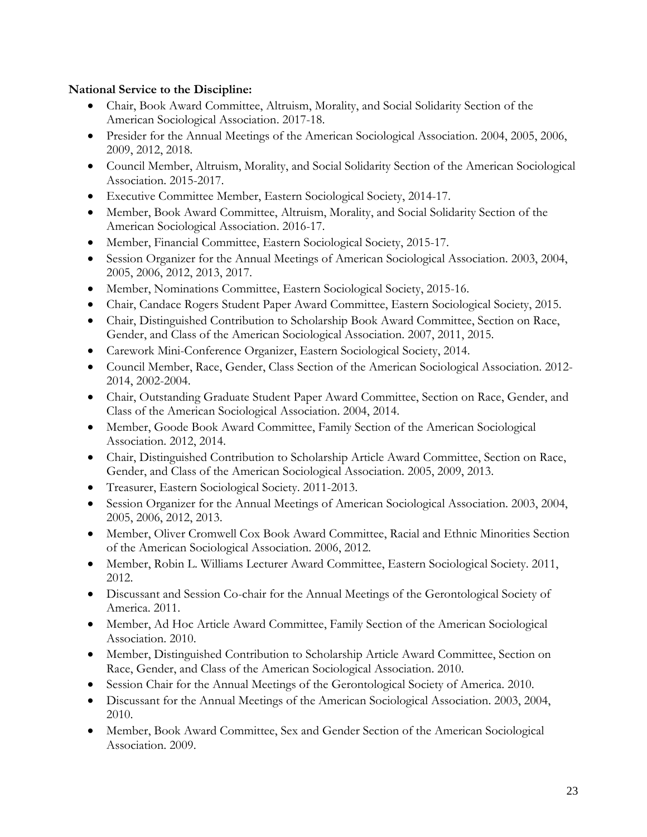# **National Service to the Discipline:**

- Chair, Book Award Committee, Altruism, Morality, and Social Solidarity Section of the American Sociological Association. 2017-18.
- Presider for the Annual Meetings of the American Sociological Association. 2004, 2005, 2006, 2009, 2012, 2018.
- Council Member, Altruism, Morality, and Social Solidarity Section of the American Sociological Association. 2015-2017.
- Executive Committee Member, Eastern Sociological Society, 2014-17.
- Member, Book Award Committee, Altruism, Morality, and Social Solidarity Section of the American Sociological Association. 2016-17.
- Member, Financial Committee, Eastern Sociological Society, 2015-17.
- Session Organizer for the Annual Meetings of American Sociological Association. 2003, 2004, 2005, 2006, 2012, 2013, 2017.
- Member, Nominations Committee, Eastern Sociological Society, 2015-16.
- Chair, Candace Rogers Student Paper Award Committee, Eastern Sociological Society, 2015.
- Chair, Distinguished Contribution to Scholarship Book Award Committee, Section on Race, Gender, and Class of the American Sociological Association. 2007, 2011, 2015.
- Carework Mini-Conference Organizer, Eastern Sociological Society, 2014.
- Council Member, Race, Gender, Class Section of the American Sociological Association. 2012- 2014, 2002-2004.
- Chair, Outstanding Graduate Student Paper Award Committee, Section on Race, Gender, and Class of the American Sociological Association. 2004, 2014.
- Member, Goode Book Award Committee, Family Section of the American Sociological Association. 2012, 2014.
- Chair, Distinguished Contribution to Scholarship Article Award Committee, Section on Race, Gender, and Class of the American Sociological Association. 2005, 2009, 2013.
- Treasurer, Eastern Sociological Society. 2011-2013.
- Session Organizer for the Annual Meetings of American Sociological Association. 2003, 2004, 2005, 2006, 2012, 2013.
- Member, Oliver Cromwell Cox Book Award Committee, Racial and Ethnic Minorities Section of the American Sociological Association. 2006, 2012.
- Member, Robin L. Williams Lecturer Award Committee, Eastern Sociological Society. 2011, 2012.
- Discussant and Session Co-chair for the Annual Meetings of the Gerontological Society of America. 2011.
- Member, Ad Hoc Article Award Committee, Family Section of the American Sociological Association. 2010.
- Member, Distinguished Contribution to Scholarship Article Award Committee, Section on Race, Gender, and Class of the American Sociological Association. 2010.
- Session Chair for the Annual Meetings of the Gerontological Society of America. 2010.
- Discussant for the Annual Meetings of the American Sociological Association. 2003, 2004, 2010.
- Member, Book Award Committee, Sex and Gender Section of the American Sociological Association. 2009.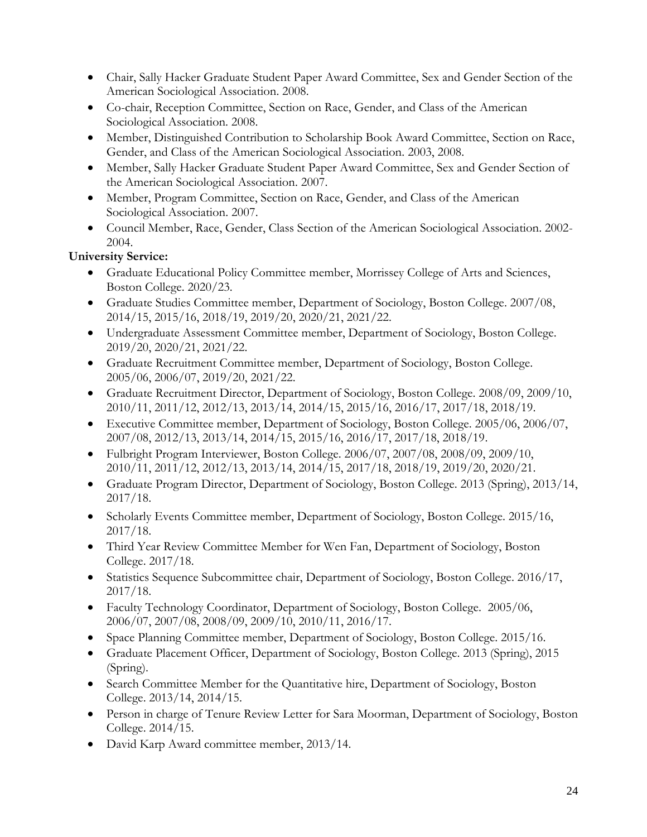- Chair, Sally Hacker Graduate Student Paper Award Committee, Sex and Gender Section of the American Sociological Association. 2008.
- Co-chair, Reception Committee, Section on Race, Gender, and Class of the American Sociological Association. 2008.
- Member, Distinguished Contribution to Scholarship Book Award Committee, Section on Race, Gender, and Class of the American Sociological Association. 2003, 2008.
- Member, Sally Hacker Graduate Student Paper Award Committee, Sex and Gender Section of the American Sociological Association. 2007.
- Member, Program Committee, Section on Race, Gender, and Class of the American Sociological Association. 2007.
- Council Member, Race, Gender, Class Section of the American Sociological Association. 2002- 2004.

# **University Service:**

- Graduate Educational Policy Committee member, Morrissey College of Arts and Sciences, Boston College. 2020/23.
- Graduate Studies Committee member, Department of Sociology, Boston College. 2007/08, 2014/15, 2015/16, 2018/19, 2019/20, 2020/21, 2021/22.
- Undergraduate Assessment Committee member, Department of Sociology, Boston College. 2019/20, 2020/21, 2021/22.
- Graduate Recruitment Committee member, Department of Sociology, Boston College. 2005/06, 2006/07, 2019/20, 2021/22.
- Graduate Recruitment Director, Department of Sociology, Boston College. 2008/09, 2009/10, 2010/11, 2011/12, 2012/13, 2013/14, 2014/15, 2015/16, 2016/17, 2017/18, 2018/19.
- Executive Committee member, Department of Sociology, Boston College. 2005/06, 2006/07, 2007/08, 2012/13, 2013/14, 2014/15, 2015/16, 2016/17, 2017/18, 2018/19.
- Fulbright Program Interviewer, Boston College. 2006/07, 2007/08, 2008/09, 2009/10, 2010/11, 2011/12, 2012/13, 2013/14, 2014/15, 2017/18, 2018/19, 2019/20, 2020/21.
- Graduate Program Director, Department of Sociology, Boston College. 2013 (Spring), 2013/14, 2017/18.
- Scholarly Events Committee member, Department of Sociology, Boston College. 2015/16, 2017/18.
- Third Year Review Committee Member for Wen Fan, Department of Sociology, Boston College. 2017/18.
- Statistics Sequence Subcommittee chair, Department of Sociology, Boston College. 2016/17, 2017/18.
- Faculty Technology Coordinator, Department of Sociology, Boston College. 2005/06, 2006/07, 2007/08, 2008/09, 2009/10, 2010/11, 2016/17.
- Space Planning Committee member, Department of Sociology, Boston College. 2015/16.
- Graduate Placement Officer, Department of Sociology, Boston College. 2013 (Spring), 2015 (Spring).
- Search Committee Member for the Quantitative hire, Department of Sociology, Boston College. 2013/14, 2014/15.
- Person in charge of Tenure Review Letter for Sara Moorman, Department of Sociology, Boston College. 2014/15.
- David Karp Award committee member, 2013/14.